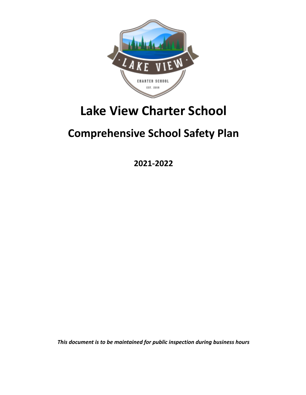

# **Lake View Charter School**

# **Comprehensive School Safety Plan**

**2021-2022**

*This document is to be maintained for public inspection during business hours*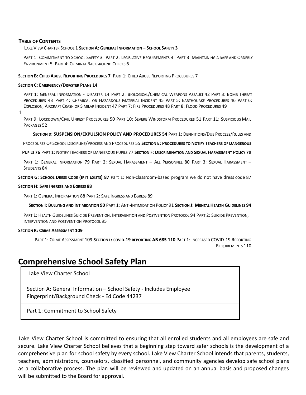#### **TABLE OF CONTENTS**

#### LAKE VIEW CHARTER SCHOOL 1 **SECTION A: GENERAL INFORMATION – SCHOOL SAFETY 3**

PART 1: COMMITMENT TO SCHOOL SAFETY 3 PART 2: LEGISLATIVE REQUIREMENTS 4 PART 3: MAINTAINING A SAFE AND ORDERLY ENVIRONMENT 5 PART 4: CRIMINAL BACKGROUND CHECKS 6

#### **SECTION B: CHILD ABUSE REPORTING PROCEDURES 7** PART 1: CHILD ABUSE REPORTING PROCEDURES 7

#### **SECTION C: EMERGENCY/DISASTER PLANS 14**

PART 1: GENERAL INFORMATION - DISASTER 14 PART 2: BIOLOGICAL/CHEMICAL WEAPONS ASSAULT 42 PART 3: BOMB THREAT PROCEDURES 43 PART 4: CHEMICAL OR HAZARDOUS MATERIAL INCIDENT 45 PART 5: EARTHQUAKE PROCEDURES 46 PART 6: EXPLOSION, AIRCRAFT CRASH OR SIMILAR INCIDENT 47 PART 7: FIRE PROCEDURES 48 PART 8: FLOOD PROCEDURES 49

1

PART 9: LOCKDOWN/CIVIL UNREST PROCEDURES 50 PART 10: SEVERE WINDSTORM PROCEDUREs 51 PART 11: SUSPICIOUS MAIL PACKAGES 52

**SECTION D: SUSPENSION/EXPULSION POLICY AND PROCEDURES 54** PART 1: DEFINITIONS/DUE PROCESS/RULES AND

PROCEDURES OF SCHOOL DISCIPLINE/PROCESS AND PROCEDURES 55 **SECTION E: PROCEDURES TO NOTIFY TEACHERS OF DANGEROUS**

PUPILS 76 PART 1: NOTIFY TEACHERS OF DANGEROUS PUPILS 77 SECTION F: DISCRIMINATION AND SEXUAL HARASSMENT POLICY 79

PART 1: GENERAL INFORMATION 79 PART 2: SEXUAL HARASSMENT – ALL PERSONNEL 80 PART 3: SEXUAL HARASSMENT – STUDENTS 84

**SECTION G: SCHOOL DRESS CODE (IF IT EXISTS) 87** Part 1: Non-classroom-based program we do not have dress code 87

#### **SECTION H: SAFE INGRESS AND EGRESS 88**

PART 1: GENERAL INFORMATION 88 PART 2: SAFE INGRESS AND EGRESS 89

SECTION I: BULLYING AND INTIMIDATION 90 PART 1: ANTI-INTIMIDATION POLICY 91 SECTION J: MENTAL HEALTH GUIDELINES 94

PART 1: HEALTH GUIDELINES SUICIDE PREVENTION, INTERVENTION AND POSTVENTION PROTOCOL 94 PART 2: SUICIDE PREVENTION, INTERVENTION AND POSTVENTION PROTOCOL 95

#### **SECTION K: CRIME ASSESSMENT 109**

PART 1: CRIME ASSESSMENT 109 **SECTION L: COVID-19 REPORTING AB 685 110** PART 1: INCREASED COVID-19 REPORTING REQUIREMENTS 110

## **Comprehensive School Safety Plan**

Lake View Charter School

Section A: General Information – School Safety - Includes Employee Fingerprint/Background Check - Ed Code 44237

Part 1: Commitment to School Safety

Lake View Charter School is committed to ensuring that all enrolled students and all employees are safe and secure. Lake View Charter School believes that a beginning step toward safer schools is the development of a comprehensive plan for school safety by every school. Lake View Charter School intends that parents, students, teachers, administrators, counselors, classified personnel, and community agencies develop safe school plans as a collaborative process. The plan will be reviewed and updated on an annual basis and proposed changes will be submitted to the Board for approval.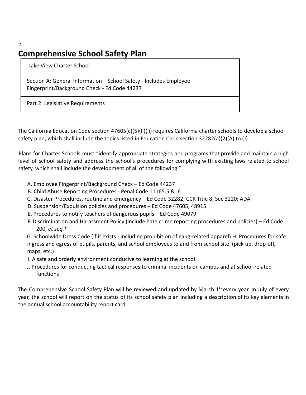## 2 **Comprehensive School Safety Plan**

Lake View Charter School

Section A: General Information – School Safety - Includes Employee Fingerprint/Background Check - Ed Code 44237

Part 2: Legislative Requirements

The California Education Code section 47605(c)(5)(F)(ii) requires California charter schools to develop a school safety plan, which shall include the topics listed in Education Code section 32282(a)(2)(A) to (J).

Plans for Charter Schools must "identify appropriate strategies and programs that provide and maintain a high level of school safety and address the school's procedures for complying with existing laws related to school safety, which shall include the development of all of the following:"

- A. Employee Fingerprint/Background Check Ed Code 44237
- B. Child Abuse Reporting Procedures Penal Code 11165.5 & .6
- C. Disaster Procedures, routine and emergency Ed Code 32282; CCR Title 8, Sec 3220; ADA
- D. Suspension/Expulsion policies and procedures Ed Code 47605, 48915
- E. Procedures to notify teachers of dangerous pupils Ed Code 49079
- F. Discrimination and Harassment Policy (include hate crime reporting procedures and policies) Ed Code 200, *et seq.*\*

G. Schoolwide Dress Code (if it exists - including prohibition of gang-related apparel) H. Procedures for safe ingress and egress of pupils, parents, and school employees to and from school site (pick-up, drop-off, maps, etc.)

- I. A safe and orderly environment conducive to learning at the school
- J. Procedures for conducting tactical responses to criminal incidents on campus and at school-related functions

The Comprehensive School Safety Plan will be reviewed and updated by March 1<sup>st</sup> every year. In July of every year, the school will report on the status of its school safety plan including a description of its key elements in the annual school accountability report card.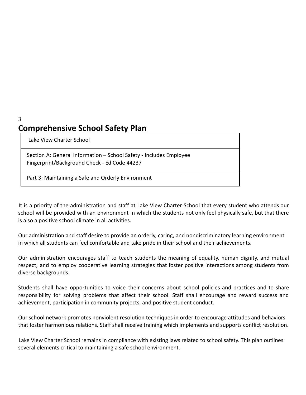## **Comprehensive School Safety Plan**

Lake View Charter School

3

Section A: General Information – School Safety - Includes Employee Fingerprint/Background Check - Ed Code 44237

Part 3: Maintaining a Safe and Orderly Environment

It is a priority of the administration and staff at Lake View Charter School that every student who attends our school will be provided with an environment in which the students not only feel physically safe, but that there is also a positive school climate in all activities.

Our administration and staff desire to provide an orderly, caring, and nondiscriminatory learning environment in which all students can feel comfortable and take pride in their school and their achievements.

Our administration encourages staff to teach students the meaning of equality, human dignity, and mutual respect, and to employ cooperative learning strategies that foster positive interactions among students from diverse backgrounds.

Students shall have opportunities to voice their concerns about school policies and practices and to share responsibility for solving problems that affect their school. Staff shall encourage and reward success and achievement, participation in community projects, and positive student conduct.

Our school network promotes nonviolent resolution techniques in order to encourage attitudes and behaviors that foster harmonious relations. Staff shall receive training which implements and supports conflict resolution.

Lake View Charter School remains in compliance with existing laws related to school safety. This plan outlines several elements critical to maintaining a safe school environment.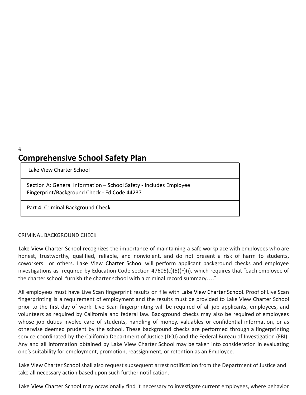4

## **Comprehensive School Safety Plan**

Lake View Charter School

Section A: General Information – School Safety - Includes Employee Fingerprint/Background Check - Ed Code 44237

Part 4: Criminal Background Check

#### CRIMINAL BACKGROUND CHECK

Lake View Charter School recognizes the importance of maintaining a safe workplace with employees who are honest, trustworthy, qualified, reliable, and nonviolent, and do not present a risk of harm to students, coworkers or others. Lake View Charter School will perform applicant background checks and employee investigations as required by Education Code section 47605(c)(5)(F)(i), which requires that "each employee of the charter school furnish the charter school with a criminal record summary…."

All employees must have Live Scan fingerprint results on file with Lake View Charter School. Proof of Live Scan fingerprinting is a requirement of employment and the results must be provided to Lake View Charter School prior to the first day of work. Live Scan fingerprinting will be required of all job applicants, employees, and volunteers as required by California and federal law. Background checks may also be required of employees whose job duties involve care of students, handling of money, valuables or confidential information, or as otherwise deemed prudent by the school. These background checks are performed through a fingerprinting service coordinated by the California Department of Justice (DOJ) and the Federal Bureau of Investigation (FBI). Any and all information obtained by Lake View Charter School may be taken into consideration in evaluating one's suitability for employment, promotion, reassignment, or retention as an Employee.

Lake View Charter School shall also request subsequent arrest notification from the Department of Justice and take all necessary action based upon such further notification.

Lake View Charter School may occasionally find it necessary to investigate current employees, where behavior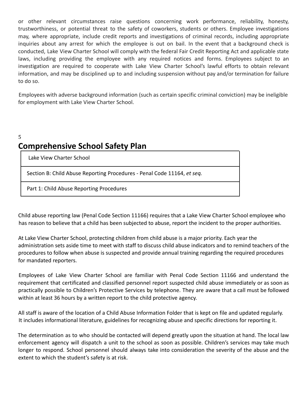or other relevant circumstances raise questions concerning work performance, reliability, honesty, trustworthiness, or potential threat to the safety of coworkers, students or others. Employee investigations may, where appropriate, include credit reports and investigations of criminal records, including appropriate inquiries about any arrest for which the employee is out on bail. In the event that a background check is conducted, Lake View Charter School will comply with the federal Fair Credit Reporting Act and applicable state laws, including providing the employee with any required notices and forms. Employees subject to an investigation are required to cooperate with Lake View Charter School's lawful efforts to obtain relevant information, and may be disciplined up to and including suspension without pay and/or termination for failure to do so.

Employees with adverse background information (such as certain specific criminal conviction) may be ineligible for employment with Lake View Charter School.

## 5 **Comprehensive School Safety Plan**

| Lake View Charter School                                                |
|-------------------------------------------------------------------------|
| Section B: Child Abuse Reporting Procedures - Penal Code 11164, et seq. |
| Part 1: Child Abuse Reporting Procedures                                |

Child abuse reporting law (Penal Code Section 11166) requires that a Lake View Charter School employee who has reason to believe that a child has been subjected to abuse, report the incident to the proper authorities.

At Lake View Charter School, protecting children from child abuse is a major priority. Each year the administration sets aside time to meet with staff to discuss child abuse indicators and to remind teachers of the procedures to follow when abuse is suspected and provide annual training regarding the required procedures for mandated reporters.

Employees of Lake View Charter School are familiar with Penal Code Section 11166 and understand the requirement that certificated and classified personnel report suspected child abuse immediately or as soon as practically possible to Children's Protective Services by telephone. They are aware that a call must be followed within at least 36 hours by a written report to the child protective agency.

All staff is aware of the location of a Child Abuse Information Folder that is kept on file and updated regularly. It includes informational literature, guidelines for recognizing abuse and specific directions for reporting it.

The determination as to who should be contacted will depend greatly upon the situation at hand. The local law enforcement agency will dispatch a unit to the school as soon as possible. Children's services may take much longer to respond. School personnel should always take into consideration the severity of the abuse and the extent to which the student's safety is at risk.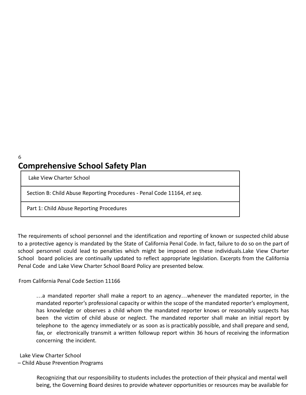## 6 **Comprehensive School Safety Plan**

Lake View Charter School

Section B: Child Abuse Reporting Procedures - Penal Code 11164, *et seq.*

Part 1: Child Abuse Reporting Procedures

The requirements of school personnel and the identification and reporting of known or suspected child abuse to a protective agency is mandated by the State of California Penal Code. In fact, failure to do so on the part of school personnel could lead to penalties which might be imposed on these individuals.Lake View Charter School board policies are continually updated to reflect appropriate legislation. Excerpts from the California Penal Code and Lake View Charter School Board Policy are presented below.

#### From California Penal Code Section 11166

…a mandated reporter shall make a report to an agency…whenever the mandated reporter, in the mandated reporter's professional capacity or within the scope of the mandated reporter's employment, has knowledge or observes a child whom the mandated reporter knows or reasonably suspects has been the victim of child abuse or neglect. The mandated reporter shall make an initial report by telephone to the agency immediately or as soon as is practicably possible, and shall prepare and send, fax, or electronically transmit a written followup report within 36 hours of receiving the information concerning the incident.

Lake View Charter School

– Child Abuse Prevention Programs

Recognizing that our responsibility to students includes the protection of their physical and mental well being, the Governing Board desires to provide whatever opportunities or resources may be available for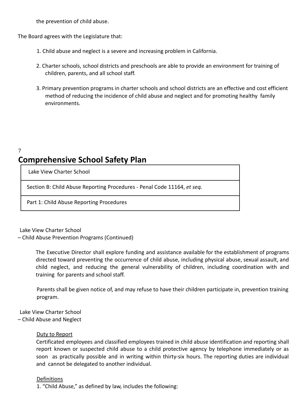the prevention of child abuse.

The Board agrees with the Legislature that:

- 1. Child abuse and neglect is a severe and increasing problem in California.
- 2. Charter schools, school districts and preschools are able to provide an environment for training of children, parents, and all school staff.
- 3. Primary prevention programs in charter schools and school districts are an effective and cost efficient method of reducing the incidence of child abuse and neglect and for promoting healthy family environments.

## **Comprehensive School Safety Plan**

Lake View Charter School

7

Section B: Child Abuse Reporting Procedures - Penal Code 11164, *et seq.*

Part 1: Child Abuse Reporting Procedures

Lake View Charter School

– Child Abuse Prevention Programs (Continued)

The Executive Director shall explore funding and assistance available for the establishment of programs directed toward preventing the occurrence of child abuse, including physical abuse, sexual assault, and child neglect, and reducing the general vulnerability of children, including coordination with and training for parents and school staff.

Parents shall be given notice of, and may refuse to have their children participate in, prevention training program.

Lake View Charter School – Child Abuse and Neglect

#### Duty to Report

Certificated employees and classified employees trained in child abuse identification and reporting shall report known or suspected child abuse to a child protective agency by telephone immediately or as soon as practically possible and in writing within thirty-six hours. The reporting duties are individual and cannot be delegated to another individual.

#### Definitions

1. "Child Abuse," as defined by law, includes the following: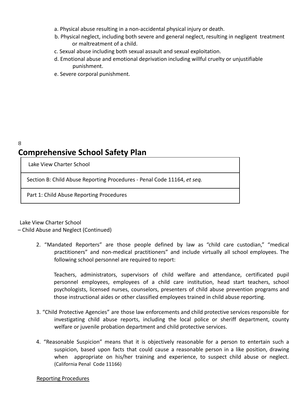- a. Physical abuse resulting in a non-accidental physical injury or death.
- b. Physical neglect, including both severe and general neglect, resulting in negligent treatment or maltreatment of a child.
- c. Sexual abuse including both sexual assault and sexual exploitation.
- d. Emotional abuse and emotional deprivation including willful cruelty or unjustifiable punishment.
- e. Severe corporal punishment.

## 8 **Comprehensive School Safety Plan**

Lake View Charter School

Section B: Child Abuse Reporting Procedures - Penal Code 11164, *et seq.*

Part 1: Child Abuse Reporting Procedures

Lake View Charter School

– Child Abuse and Neglect (Continued)

2. "Mandated Reporters" are those people defined by law as "child care custodian," "medical practitioners" and non-medical practitioners" and include virtually all school employees. The following school personnel are required to report:

Teachers, administrators, supervisors of child welfare and attendance, certificated pupil personnel employees, employees of a child care institution, head start teachers, school psychologists, licensed nurses, counselors, presenters of child abuse prevention programs and those instructional aides or other classified employees trained in child abuse reporting.

- 3. "Child Protective Agencies" are those law enforcements and child protective services responsible for investigating child abuse reports, including the local police or sheriff department, county welfare or juvenile probation department and child protective services.
- 4. "Reasonable Suspicion" means that it is objectively reasonable for a person to entertain such a suspicion, based upon facts that could cause a reasonable person in a like position, drawing when appropriate on his/her training and experience, to suspect child abuse or neglect. (California Penal Code 11166)

#### Reporting Procedures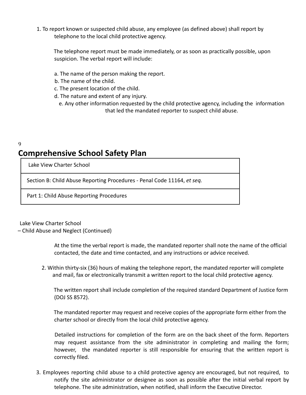1. To report known or suspected child abuse, any employee (as defined above) shall report by telephone to the local child protective agency.

The telephone report must be made immediately, or as soon as practically possible, upon suspicion. The verbal report will include:

- a. The name of the person making the report.
- b. The name of the child.
- c. The present location of the child.
- d. The nature and extent of any injury.
	- e. Any other information requested by the child protective agency, including the information that led the mandated reporter to suspect child abuse.

## 9 **Comprehensive School Safety Plan**

Lake View Charter School

Section B: Child Abuse Reporting Procedures - Penal Code 11164, *et seq.*

Part 1: Child Abuse Reporting Procedures

Lake View Charter School

– Child Abuse and Neglect (Continued)

At the time the verbal report is made, the mandated reporter shall note the name of the official contacted, the date and time contacted, and any instructions or advice received.

2. Within thirty-six (36) hours of making the telephone report, the mandated reporter will complete and mail, fax or electronically transmit a written report to the local child protective agency.

The written report shall include completion of the required standard Department of Justice form (DOJ SS 8572).

The mandated reporter may request and receive copies of the appropriate form either from the charter school or directly from the local child protective agency.

Detailed instructions for completion of the form are on the back sheet of the form. Reporters may request assistance from the site administrator in completing and mailing the form; however, the mandated reporter is still responsible for ensuring that the written report is correctly filed.

3. Employees reporting child abuse to a child protective agency are encouraged, but not required, to notify the site administrator or designee as soon as possible after the initial verbal report by telephone. The site administration, when notified, shall inform the Executive Director.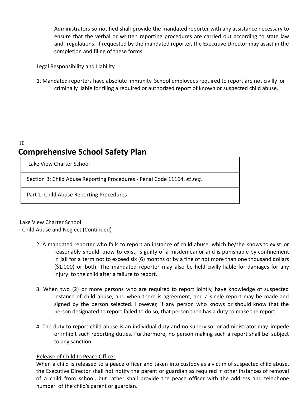Administrators so notified shall provide the mandated reporter with any assistance necessary to ensure that the verbal or written reporting procedures are carried out according to state law and regulations. If requested by the mandated reporter, the Executive Director may assist in the completion and filing of these forms.

#### Legal Responsibility and Liability

1. Mandated reporters have absolute immunity. School employees required to report are not civilly or criminally liable for filing a required or authorized report of known or suspected child abuse.

## 10 **Comprehensive School Safety Plan**

Lake View Charter School

Section B: Child Abuse Reporting Procedures - Penal Code 11164, *et seq.*

Part 1: Child Abuse Reporting Procedures

Lake View Charter School

– Child Abuse and Neglect (Continued)

- 2. A mandated reporter who fails to report an instance of child abuse, which he/she knows to exist or reasonably should know to exist, is guilty of a misdemeanor and is punishable by confinement in jail for a term not to exceed six (6) months or by a fine of not more than one thousand dollars (\$1,000) or both. The mandated reporter may also be held civilly liable for damages for any injury to the child after a failure to report.
- 3. When two (2) or more persons who are required to report jointly, have knowledge of suspected instance of child abuse, and when there is agreement, and a single report may be made and signed by the person selected. However, if any person who knows or should know that the person designated to report failed to do so, that person then has a duty to make the report.
- 4. The duty to report child abuse is an individual duty and no supervisor or administrator may impede or inhibit such reporting duties. Furthermore, no person making such a report shall be subject to any sanction.

#### Release of Child to Peace Officer

When a child is released to a peace officer and taken into custody as a victim of suspected child abuse, the Executive Director shall not notify the parent or guardian as required in other instances of removal of a child from school, but rather shall provide the peace officer with the address and telephone number of the child's parent or guardian.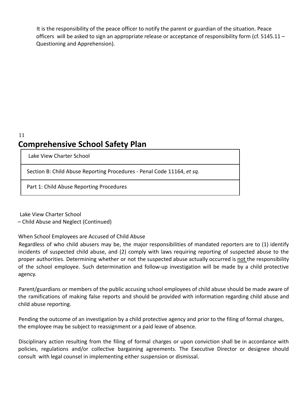It is the responsibility of the peace officer to notify the parent or guardian of the situation. Peace officers will be asked to sign an appropriate release or acceptance of responsibility form (cf. 5145.11 – Questioning and Apprehension).

## 11 **Comprehensive School Safety Plan**

Lake View Charter School

Section B: Child Abuse Reporting Procedures - Penal Code 11164, *et sq.*

Part 1: Child Abuse Reporting Procedures

Lake View Charter School – Child Abuse and Neglect (Continued)

When School Employees are Accused of Child Abuse

Regardless of who child abusers may be, the major responsibilities of mandated reporters are to (1) identify incidents of suspected child abuse, and (2) comply with laws requiring reporting of suspected abuse to the proper authorities. Determining whether or not the suspected abuse actually occurred is not the responsibility of the school employee. Such determination and follow-up investigation will be made by a child protective agency.

Parent/guardians or members of the public accusing school employees of child abuse should be made aware of the ramifications of making false reports and should be provided with information regarding child abuse and child abuse reporting.

Pending the outcome of an investigation by a child protective agency and prior to the filing of formal charges, the employee may be subject to reassignment or a paid leave of absence.

Disciplinary action resulting from the filing of formal charges or upon conviction shall be in accordance with policies, regulations and/or collective bargaining agreements. The Executive Director or designee should consult with legal counsel in implementing either suspension or dismissal.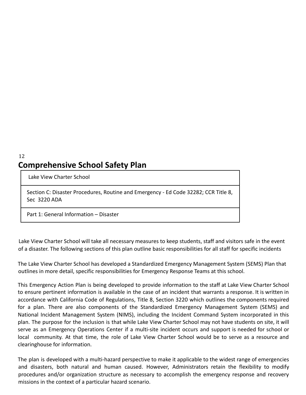## 12 **Comprehensive School Safety Plan**

Lake View Charter School

Section C: Disaster Procedures, Routine and Emergency - Ed Code 32282; CCR Title 8, Sec 3220 ADA

Part 1: General Information – Disaster

Lake View Charter School will take all necessary measures to keep students, staff and visitors safe in the event of a disaster. The following sections of this plan outline basic responsibilities for all staff for specific incidents

The Lake View Charter School has developed a Standardized Emergency Management System (SEMS) Plan that outlines in more detail, specific responsibilities for Emergency Response Teams at this school.

This Emergency Action Plan is being developed to provide information to the staff at Lake View Charter School to ensure pertinent information is available in the case of an incident that warrants a response. It is written in accordance with California Code of Regulations, Title 8, Section 3220 which outlines the components required for a plan. There are also components of the Standardized Emergency Management System (SEMS) and National Incident Management System (NIMS), including the Incident Command System incorporated in this plan. The purpose for the inclusion is that while Lake View Charter School may not have students on site, it will serve as an Emergency Operations Center if a multi-site incident occurs and support is needed for school or local community. At that time, the role of Lake View Charter School would be to serve as a resource and clearinghouse for information.

The plan is developed with a multi-hazard perspective to make it applicable to the widest range of emergencies and disasters, both natural and human caused. However, Administrators retain the flexibility to modify procedures and/or organization structure as necessary to accomplish the emergency response and recovery missions in the context of a particular hazard scenario.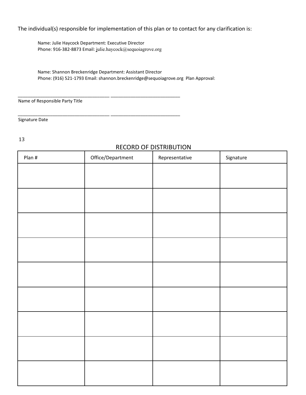## The individual(s) responsible for implementation of this plan or to contact for any clarification is:

Name: Julie Haycock Department: Executive Director Phone: 916-382-8873 Email: julie.haycock@sequoiagrove.org

\_\_\_\_\_\_\_\_\_\_\_\_\_\_\_\_\_\_\_\_\_\_\_\_\_\_\_\_\_\_\_\_\_\_\_\_\_ \_\_\_\_\_\_\_\_\_\_\_\_\_\_\_\_\_\_\_\_\_\_\_\_\_\_\_\_

\_\_\_\_\_\_\_\_\_\_\_\_\_\_\_\_\_\_\_\_\_\_\_\_\_\_\_\_\_\_\_\_\_\_\_\_\_ \_\_\_\_\_\_\_\_\_\_\_\_\_\_\_\_\_\_\_\_\_\_\_\_\_\_\_\_

Name: Shannon Breckenridge Department: Assistant Director Phone: (916) 521-1793 Email: shannon.breckenridge@sequoiagrove.org Plan Approval:

Name of Responsible Party Title

Signature Date

13

## RECORD OF DISTRIBUTION

| Plan # | Office/Department | Representative | Signature |
|--------|-------------------|----------------|-----------|
|        |                   |                |           |
|        |                   |                |           |
|        |                   |                |           |
|        |                   |                |           |
|        |                   |                |           |
|        |                   |                |           |
|        |                   |                |           |
|        |                   |                |           |
|        |                   |                |           |
|        |                   |                |           |
|        |                   |                |           |
|        |                   |                |           |
|        |                   |                |           |
|        |                   |                |           |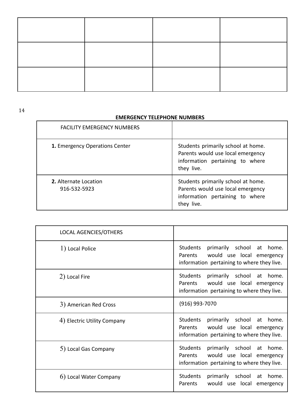14

#### **EMERGENCY TELEPHONE NUMBERS**

| <b>FACILITY EMERGENCY NUMBERS</b>     |                                                                                                                          |
|---------------------------------------|--------------------------------------------------------------------------------------------------------------------------|
| 1. Emergency Operations Center        | Students primarily school at home.<br>Parents would use local emergency<br>information pertaining to where<br>they live. |
| 2. Alternate Location<br>916-532-5923 | Students primarily school at home.<br>Parents would use local emergency<br>information pertaining to where<br>they live. |

| LOCAL AGENCIES/OTHERS       |                                                                                                                                          |
|-----------------------------|------------------------------------------------------------------------------------------------------------------------------------------|
| 1) Local Police             | Students<br>primarily school<br>home.<br>at<br>would use local emergency<br><b>Parents</b><br>information pertaining to where they live. |
| 2) Local Fire               | Students primarily school at home.<br>would use local emergency<br>Parents<br>information pertaining to where they live.                 |
| 3) American Red Cross       | $(916)$ 993-7070                                                                                                                         |
| 4) Electric Utility Company | Students<br>primarily school at<br>home.<br>Parents<br>would use local emergency<br>information pertaining to where they live.           |
| 5) Local Gas Company        | Students<br>primarily school<br>home.<br>at<br>Parents<br>would use local emergency<br>information pertaining to where they live.        |
| 6) Local Water Company      | Students<br>primarily school<br>at<br>home.<br>Parents<br>would use local<br>emergency                                                   |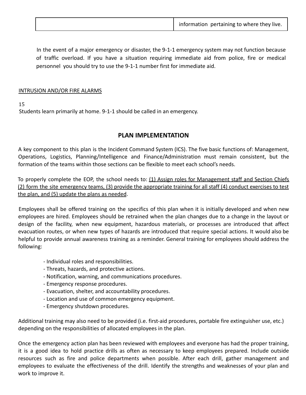|  | information pertaining to where they live. |
|--|--------------------------------------------|
|--|--------------------------------------------|

In the event of a major emergency or disaster, the 9-1-1 emergency system may not function because of traffic overload. If you have a situation requiring immediate aid from police, fire or medical personnel you should try to use the 9-1-1 number first for immediate aid.

#### INTRUSION AND/OR FIRE ALARMS

15

Students learn primarily at home. 9-1-1 should be called in an emergency.

## **PLAN IMPLEMENTATION**

A key component to this plan is the Incident Command System (ICS). The five basic functions of: Management, Operations, Logistics, Planning/Intelligence and Finance/Administration must remain consistent, but the formation of the teams within those sections can be flexible to meet each school's needs.

To properly complete the EOP, the school needs to: (1) Assign roles for Management staff and Section Chiefs (2) form the site emergency teams, (3) provide the appropriate training for all staff (4) conduct exercises to test the plan, and (5) update the plans as needed.

Employees shall be offered training on the specifics of this plan when it is initially developed and when new employees are hired. Employees should be retrained when the plan changes due to a change in the layout or design of the facility, when new equipment, hazardous materials, or processes are introduced that affect evacuation routes, or when new types of hazards are introduced that require special actions. It would also be helpful to provide annual awareness training as a reminder. General training for employees should address the following:

- Individual roles and responsibilities.
- Threats, hazards, and protective actions.
- Notification, warning, and communications procedures.
- Emergency response procedures.
- Evacuation, shelter, and accountability procedures.
- Location and use of common emergency equipment.
- Emergency shutdown procedures.

Additional training may also need to be provided (i.e. first-aid procedures, portable fire extinguisher use, etc.) depending on the responsibilities of allocated employees in the plan.

Once the emergency action plan has been reviewed with employees and everyone has had the proper training, it is a good idea to hold practice drills as often as necessary to keep employees prepared. Include outside resources such as fire and police departments when possible. After each drill, gather management and employees to evaluate the effectiveness of the drill. Identify the strengths and weaknesses of your plan and work to improve it.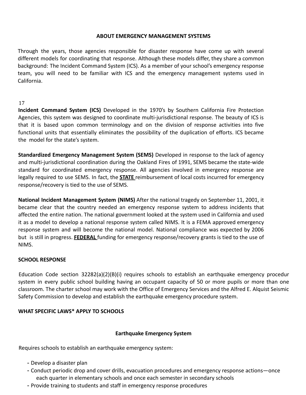#### **ABOUT EMERGENCY MANAGEMENT SYSTEMS**

Through the years, those agencies responsible for disaster response have come up with several different models for coordinating that response. Although these models differ, they share a common background: The Incident Command System (ICS). As a member of your school's emergency response team, you will need to be familiar with ICS and the emergency management systems used in California.

#### 17

**Incident Command System (ICS)** Developed in the 1970's by Southern California Fire Protection Agencies, this system was designed to coordinate multi-jurisdictional response. The beauty of ICS is that it is based upon common terminology and on the division of response activities into five functional units that essentially eliminates the possibility of the duplication of efforts. ICS became the model for the state's system.

**Standardized Emergency Management System (SEMS)** Developed in response to the lack of agency and multi-jurisdictional coordination during the Oakland Fires of 1991, SEMS became the state-wide standard for coordinated emergency response. All agencies involved in emergency response are legally required to use SEMS. In fact, the **STATE** reimbursement of local costs incurred for emergency response/recovery is tied to the use of SEMS.

**National Incident Management System (NIMS)** After the national tragedy on September 11, 2001, it became clear that the country needed an emergency response system to address incidents that affected the entire nation. The national government looked at the system used in California and used it as a model to develop a national response system called NIMS. It is a FEMA approved emergency response system and will become the national model. National compliance was expected by 2006 but is still in progress. **FEDERAL** funding for emergency response/recovery grants is tied to the use of NIMS.

#### **SCHOOL RESPONSE**

Education Code section 32282(a)(2)(B)(i) requires schools to establish an earthquake emergency procedur system in every public school building having an occupant capacity of 50 or more pupils or more than one classroom. The charter school may work with the Office of Emergency Services and the Alfred E. Alquist Seismic Safety Commission to develop and establish the earthquake emergency procedure system.

#### **WHAT SPECIFIC LAWS\* APPLY TO SCHOOLS**

#### **Earthquake Emergency System**

Requires schools to establish an earthquake emergency system:

- Develop a disaster plan
- Conduct periodic drop and cover drills, evacuation procedures and emergency response actions—once each quarter in elementary schools and once each semester in secondary schools
- Provide training to students and staff in emergency response procedures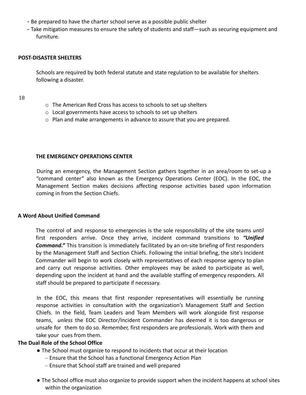- Be prepared to have the charter school serve as a possible public shelter
- Take mitigation measures to ensure the safety of students and staff—such as securing equipment and furniture.

#### **POST-DISASTER SHELTERS**

Schools are required by both federal statute and state regulation to be available for shelters following a disaster.

18

- o The American Red Cross has access to schools to set up shelters
- o Local governments have access to schools to set up shelters
- o Plan and make arrangements in advance to assure that you are prepared.

#### **THE EMERGENCY OPERATIONS CENTER**

During an emergency, the Management Section gathers together in an area/room to set-up a "command center" also known as the Emergency Operations Center (EOC). In the EOC, the Management Section makes decisions affecting response activities based upon information coming in from the Section Chiefs.

#### **A Word About Unified Command**

The control of and response to emergencies is the sole responsibility of the site teams *until* first responders arrive. Once they arrive, incident command transitions to *"Unified Command."* This transition is immediately facilitated by an on-site briefing of first responders by the Management Staff and Section Chiefs. Following the initial briefing, the site's Incident Commander will begin to work closely with representatives of each response agency to plan and carry out response activities. Other employees may be asked to participate as well, depending upon the incident at hand and the available staffing of emergency responders. All staff should be prepared to participate if necessary.

In the EOC, this means that first responder representatives will essentially be running response activities in consultation with the organization's Management Staff and Section Chiefs. In the field, Team Leaders and Team Members will work alongside first response teams, *unless* the EOC Director/Incident Commander has deemed it is too dangerous or unsafe for them to do so. *Remember,* first responders are professionals. Work with them and take your cues from them.

#### **The Dual Role of the School Office**

- The School must organize to respond to incidents that occur at their location
	- Ensure that the School has a functional Emergency Action Plan
	- Ensure that School staff are trained and well prepared
- The School office must also organize to provide support when the incident happens at school sites within the organization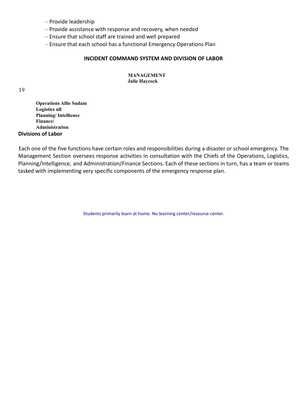- Provide leadership
- Provide assistance with response and recovery, when needed
- Ensure that school staff are trained and well prepared
- Ensure that each school has a functional Emergency Operations Plan

#### **INCIDENT COMMAND SYSTEM AND DIVISION OF LABOR**

#### **MANAGEMENT Julie Haycock**

#### 19

**Operations Allie Sudam Logistics nll Planning/ Intellience Finance/ Administration Divisions of Labor**

Each one of the five functions have certain roles and responsibilities during a disaster or school emergency. The Management Section oversees response activities in consultation with the Chiefs of the Operations, Logistics, Planning/Intelligence, and Administration/Finance Sections. Each of these sections in turn, has a team or teams tasked with implementing very specific components of the emergency response plan.

Students primarily learn at home. No learning center/resource center.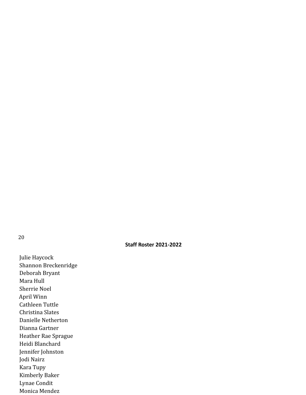20

#### **Staff Roster 2021-2022**

Julie Haycock Shannon Breckenridge Deborah Bryant Mara Hull Sherrie Noel April Winn Cathleen Tuttle Christina Slates Danielle Netherton Dianna Gartner Heather Rae Sprague Heidi Blanchard Jennifer Johnston Jodi Nairz Kara Tupy Kimberly Baker Lynae Condit Monica Mendez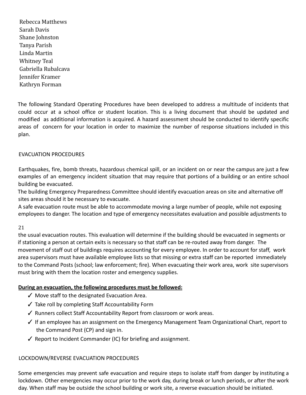Rebecca Matthews Sarah Davis Shane Johnston Tanya Parish Linda Martin Whitney Teal Gabriella Rubalcava Jennifer Kramer Kathryn Forman

The following Standard Operating Procedures have been developed to address a multitude of incidents that could occur at a school office or student location. This is a living document that should be updated and modified as additional information is acquired. A hazard assessment should be conducted to identify specific areas of concern for your location in order to maximize the number of response situations included in this plan.

#### EVACUATION PROCEDURES

Earthquakes, fire, bomb threats, hazardous chemical spill, or an incident on or near the campus are just a few examples of an emergency incident situation that may require that portions of a building or an entire school building be evacuated.

The building Emergency Preparedness Committee should identify evacuation areas on site and alternative off sites areas should it be necessary to evacuate.

A safe evacuation route must be able to accommodate moving a large number of people, while not exposing employees to danger. The location and type of emergency necessitates evaluation and possible adjustments to

#### 21

the usual evacuation routes. This evaluation will determine if the building should be evacuated in segments or if stationing a person at certain exits is necessary so that staff can be re-routed away from danger. The movement of staff out of buildings requires accounting for every employee. In order to account for staff, work area supervisors must have available employee lists so that missing or extra staff can be reported immediately to the Command Posts (school; law enforcement; fire). When evacuating their work area, work site supervisors must bring with them the location roster and emergency supplies.

#### **During an evacuation, the following procedures must be followed:**

- ✓ Move staff to the designated Evacuation Area.
- ✓ Take roll by completing Staff Accountability Form
- ✓ Runners collect Staff Accountability Report from classroom or work areas.
- ✓ If an employee has an assignment on the Emergency Management Team Organizational Chart, report to the Command Post (CP) and sign in.
- ✓ Report to Incident Commander (IC) for briefing and assignment.

#### LOCKDOWN/REVERSE EVACUATION PROCEDURES

Some emergencies may prevent safe evacuation and require steps to isolate staff from danger by instituting a lockdown. Other emergencies may occur prior to the work day, during break or lunch periods, or after the work day. When staff may be outside the school building or work site, a reverse evacuation should be initiated.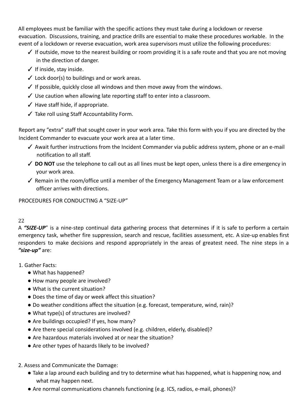All employees must be familiar with the specific actions they must take during a lockdown or reverse evacuation. Discussions, training, and practice drills are essential to make these procedures workable. In the event of a lockdown or reverse evacuation, work area supervisors must utilize the following procedures:

- $\checkmark$  If outside, move to the nearest building or room providing it is a safe route and that you are not moving in the direction of danger.
- ✓ If inside, stay inside.
- $\checkmark$  Lock door(s) to buildings and or work areas.
- $\checkmark$  If possible, quickly close all windows and then move away from the windows.
- ✓ Use caution when allowing late reporting staff to enter into a classroom.
- $\checkmark$  Have staff hide, if appropriate.
- ✓ Take roll using Staff Accountability Form.

Report any "extra" staff that sought cover in your work area. Take this form with you if you are directed by the Incident Commander to evacuate your work area at a later time.

- ✓ Await further instructions from the Incident Commander via public address system, phone or an e-mail notification to all staff.
- ✓ **DO NOT** use the telephone to call out as all lines must be kept open, unless there is a dire emergency in your work area.
- ✓ Remain in the room/office until a member of the Emergency Management Team or a law enforcement officer arrives with directions.

PROCEDURES FOR CONDUCTING A "SIZE-UP"

## 22

A *"SIZE-UP*" is a nine-step continual data gathering process that determines if it is safe to perform a certain emergency task, whether fire suppression, search and rescue, facilities assessment, etc. A size-up enables first responders to make decisions and respond appropriately in the areas of greatest need. The nine steps in a *"size-up"* are:

1. Gather Facts:

- What has happened?
- How many people are involved?
- What is the current situation?
- Does the time of day or week affect this situation?
- Do weather conditions affect the situation (e.g. forecast, temperature, wind, rain)?
- What type(s) of structures are involved?
- Are buildings occupied? If yes, how many?
- Are there special considerations involved (e.g. children, elderly, disabled)?
- Are hazardous materials involved at or near the situation?
- Are other types of hazards likely to be involved?
- 2. Assess and Communicate the Damage:
	- Take a lap around each building and try to determine what has happened, what is happening now, and what may happen next.
	- Are normal communications channels functioning (e.g. ICS, radios, e-mail, phones)?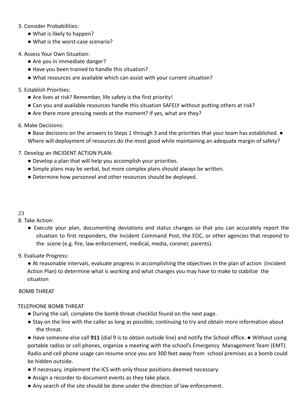#### 3. Consider Probabilities:

- What is likely to happen?
- What is the worst-case scenario?
- 4. Assess Your Own Situation:
	- Are you in immediate danger?
	- Have you been trained to handle this situation?
	- What resources are available which can assist with your current situation?

#### 5. Establish Priorities:

- Are lives at risk? Remember, life safety is the first priority!
- Can you and available resources handle this situation SAFELY without putting others at risk?
- Are there more pressing needs at the moment? If yes, what are they?

#### 6. Make Decisions:

● Base decisions on the answers to Steps 1 through 3 and the priorities that your team has established. ● Where will deployment of resources do the most good while maintaining an adequate margin of safety?

#### 7. Develop an INCIDENT ACTION PLAN:

- Develop a plan that will help you accomplish your priorities.
- Simple plans may be verbal, but more complex plans should always be written.
- Determine how personnel and other resources should be deployed.

#### 23

8. Take Action:

● Execute your plan, documenting deviations and status changes so that you can accurately report the situation to first responders, the Incident Command Post, the EOC, or other agencies that respond to the scene (e.g. fire, law enforcement, medical, media, coroner, parents).

#### 9. Evaluate Progress:

● At reasonable intervals, evaluate progress in accomplishing the objectives in the plan of action (Incident Action Plan) to determine what is working and what changes you may have to make to stabilize the situation

#### BOMB THREAT

#### TELEPHONE BOMB THREAT

- During the call, complete the bomb threat checklist found on the next page.
- Stay on the line with the caller as long as possible, continuing to try and obtain more information about the threat.

● Have someone else call **911** (dial 9 is to obtain outside line) and notify the School office. ● Without using portable radios or cell phones, organize a meeting with the school's Emergency Management Team (EMT). Radio and cell phone usage can resume once you are 300 feet away from school premises as a bomb could be hidden outside.

- If necessary, implement the ICS with only those positions deemed necessary.
- Assign a recorder to document events as they take place.
- Any search of the site should be done under the direction of law enforcement.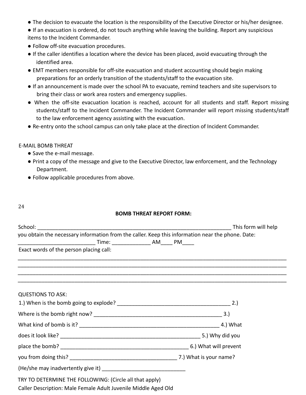- The decision to evacuate the location is the responsibility of the Executive Director or his/her designee.
- If an evacuation is ordered, do not touch anything while leaving the building. Report any suspicious items to the Incident Commander.
- Follow off-site evacuation procedures.
- If the caller identifies a location where the device has been placed, avoid evacuating through the identified area.
- EMT members responsible for off-site evacuation and student accounting should begin making preparations for an orderly transition of the students/staff to the evacuation site.
- If an announcement is made over the school PA to evacuate, remind teachers and site supervisors to bring their class or work area rosters and emergency supplies.
- When the off-site evacuation location is reached, account for all students and staff. Report missing students/staff to the Incident Commander. The Incident Commander will report missing students/staff to the law enforcement agency assisting with the evacuation.
- Re-entry onto the school campus can only take place at the direction of Incident Commander.

#### E-MAIL BOMB THREAT

- Save the e-mail message.
- Print a copy of the message and give to the Executive Director, law enforcement, and the Technology Department.
- Follow applicable procedures from above.
- 24

#### **BOMB THREAT REPORT FORM:**

| you obtain the necessary information from the caller. Keep this information near the phone. Date:                                                                                                |  |
|--------------------------------------------------------------------------------------------------------------------------------------------------------------------------------------------------|--|
|                                                                                                                                                                                                  |  |
| Exact words of the person placing call:                                                                                                                                                          |  |
|                                                                                                                                                                                                  |  |
| ,我们就会在这里的人,我们就会在这里的人,我们就会在这里,我们就会在这里,我们就会在这里,我们就会在这里,我们就会在这里,我们就会在这里,我们就会在这里,我们就<br>第251章 我们的人,我们就会在这里,我们的人,我们就会在这里,我们的人,我们就会在这里,我们就会在这里,我们就会在这里,我们就会在这里,我们就会在这里,我们就<br><b>QUESTIONS TO ASK:</b> |  |
|                                                                                                                                                                                                  |  |
|                                                                                                                                                                                                  |  |
|                                                                                                                                                                                                  |  |
|                                                                                                                                                                                                  |  |
|                                                                                                                                                                                                  |  |
|                                                                                                                                                                                                  |  |
|                                                                                                                                                                                                  |  |
| TRY TO DETERMINE THE FOLLOWING: (Circle all that apply)                                                                                                                                          |  |
| Caller Description: Male Female Adult Juvenile Middle Aged Old                                                                                                                                   |  |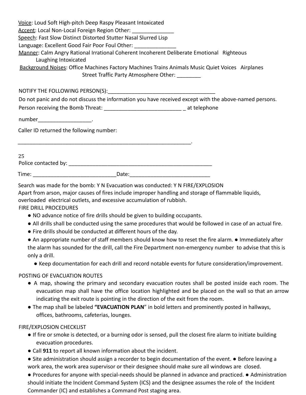|                                          | Voice: Loud Soft High-pitch Deep Raspy Pleasant Intoxicated<br>Accent: Local Non-Local Foreign Region Other:<br>Speech: Fast Slow Distinct Distorted Stutter Nasal Slurred Lisp<br>Language: Excellent Good Fair Poor Foul Other: |                                                                                                        |
|------------------------------------------|-----------------------------------------------------------------------------------------------------------------------------------------------------------------------------------------------------------------------------------|--------------------------------------------------------------------------------------------------------|
| Laughing Intoxicated                     |                                                                                                                                                                                                                                   | Manner: Calm Angry Rational Irrational Coherent Incoherent Deliberate Emotional Righteous              |
|                                          | Street Traffic Party Atmosphere Other: ________                                                                                                                                                                                   | Background Noises: Office Machines Factory Machines Trains Animals Music Quiet Voices Airplanes        |
|                                          |                                                                                                                                                                                                                                   |                                                                                                        |
|                                          |                                                                                                                                                                                                                                   | Do not panic and do not discuss the information you have received except with the above-named persons. |
|                                          | Person receiving the Bomb Threat: ________________________________ at telephone                                                                                                                                                   |                                                                                                        |
| number_________________________          |                                                                                                                                                                                                                                   |                                                                                                        |
| Caller ID returned the following number: |                                                                                                                                                                                                                                   |                                                                                                        |
| 25                                       |                                                                                                                                                                                                                                   |                                                                                                        |
|                                          | Date:                                                                                                                                                                                                                             |                                                                                                        |

Search was made for the bomb: Y N Evacuation was conducted: Y N FIRE/EXPLOSION

Apart from arson, major causes of fires include improper handling and storage of flammable liquids,

overloaded electrical outlets, and excessive accumulation of rubbish.

FIRE DRILL PROCEDURES

- NO advance notice of fire drills should be given to building occupants.
- All drills shall be conducted using the same procedures that would be followed in case of an actual fire.
- Fire drills should be conducted at different hours of the day.
- An appropriate number of staff members should know how to reset the fire alarm. Immediately after the alarm has sounded for the drill, call the Fire Department non-emergency number to advise that this is only a drill.
	- Keep documentation for each drill and record notable events for future consideration/improvement.

#### POSTING OF EVACUATION ROUTES

- A map, showing the primary and secondary evacuation routes shall be posted inside each room. The evacuation map shall have the office location highlighted and be placed on the wall so that an arrow indicating the exit route is pointing in the direction of the exit from the room.
- The map shall be labeled **"EVACUATION PLAN**" in bold letters and prominently posted in hallways, offices, bathrooms, cafeterias, lounges.

## FIRE/EXPLOSION CHECKLIST

- If fire or smoke is detected, or a burning odor is sensed, pull the closest fire alarm to initiate building evacuation procedures.
- Call **911** to report all known information about the incident.
- Site administration should assign a recorder to begin documentation of the event. Before leaving a work area, the work area supervisor or their designee should make sure all windows are closed.
- Procedures for anyone with special-needs should be planned in advance and practiced. Administration should initiate the Incident Command System (ICS) and the designee assumes the role of the Incident Commander (IC) and establishes a Command Post staging area.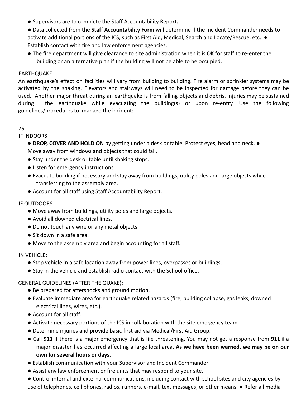- Supervisors are to complete the Staff Accountability Report**.**
- Data collected from the **Staff Accountability Form** will determine if the Incident Commander needs to activate additional portions of the ICS, such as First Aid, Medical, Search and Locate/Rescue, etc. ● Establish contact with fire and law enforcement agencies.
- The fire department will give clearance to site administration when it is OK for staff to re-enter the building or an alternative plan if the building will not be able to be occupied.

#### EARTHQUAKE

An earthquake's effect on facilities will vary from building to building. Fire alarm or sprinkler systems may be activated by the shaking. Elevators and stairways will need to be inspected for damage before they can be used. Another major threat during an earthquake is from falling objects and debris. Injuries may be sustained during the earthquake while evacuating the building(s) or upon re-entry. Use the following guidelines/procedures to manage the incident:

#### 26

#### IF INDOORS

● **DROP, COVER AND HOLD ON** by getting under a desk or table. Protect eyes, head and neck. ● Move away from windows and objects that could fall.

- Stay under the desk or table until shaking stops.
- Listen for emergency instructions.
- Evacuate building if necessary and stay away from buildings, utility poles and large objects while transferring to the assembly area.
- Account for all staff using Staff Accountability Report.

#### IF OUTDOORS

- Move away from buildings, utility poles and large objects.
- Avoid all downed electrical lines.
- Do not touch any wire or any metal objects.
- Sit down in a safe area.
- Move to the assembly area and begin accounting for all staff.

#### IN VEHICLE:

- Stop vehicle in a safe location away from power lines, overpasses or buildings.
- Stay in the vehicle and establish radio contact with the School office.

#### GENERAL GUIDELINES (AFTER THE QUAKE):

- Be prepared for aftershocks and ground motion.
- Evaluate immediate area for earthquake related hazards (fire, building collapse, gas leaks, downed electrical lines, wires, etc.).
- Account for all staff.
- Activate necessary portions of the ICS in collaboration with the site emergency team.
- Determine injuries and provide basic first aid via Medical/First Aid Group.
- Call **911** if there is a major emergency that is life threatening. You may not get a response from **911** if a major disaster has occurred affecting a large local area. **As we have been warned, we may be on our own for several hours or days.**
- Establish communication with your Supervisor and Incident Commander
- Assist any law enforcement or fire units that may respond to your site.
- Control internal and external communications, including contact with school sites and city agencies by use of telephones, cell phones, radios, runners, e-mail, text messages, or other means. ● Refer all media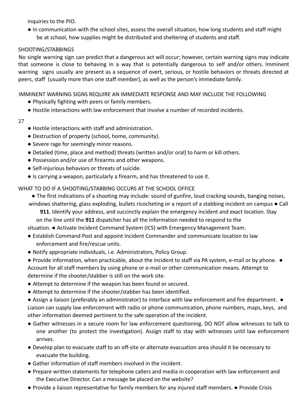inquiries to the PIO.

● In communication with the school sites, assess the overall situation, how long students and staff might be at school, how supplies might be distributed and sheltering of students and staff.

#### SHOOTING/STABBINGS

No single warning sign can predict that a dangerous act will occur; however, certain warning signs may indicate that someone is close to behaving in a way that is potentially dangerous to self and/or others. Imminent warning signs usually are present as a sequence of overt, serious, or hostile behaviors or threats directed at peers, staff (usually more than one staff member), as well as the person's immediate family.

IMMINENT WARNING SIGNS REQUIRE AN IMMEDIATE RESPONSE AND MAY INCLUDE THE FOLLOWING

- Physically fighting with peers or family members.
- Hostile interactions with law enforcement that involve a number of recorded incidents.
- 27
- Hostile interactions with staff and administration.
- Destruction of property (school, home, community).
- Severe rage for seemingly minor reasons.
- Detailed (time, place and method) threats (written and/or oral) to harm or kill others.
- Possession and/or use of firearms and other weapons.
- Self-injurious behaviors or threats of suicide.
- Is carrying a weapon, particularly a firearm, and has threatened to use it.

WHAT TO DO IF A SHOOTING/STABBING OCCURS AT THE SCHOOL OFFICE

● The first indications of a shooting may include: sound of gunfire, loud cracking sounds, banging noises,

windows shattering, glass exploding, bullets ricocheting or a report of a stabbing incident on campus ● Call **911**. Identify your address, and succinctly explain the emergency incident and exact location. Stay

on the line until the **911** dispatcher has all the information needed to respond to the

situation. ● Activate Incident Command System (ICS) with Emergency Management Team.

- Establish Command Post and appoint Incident Commander and communicate location to law enforcement and fire/rescue units.
- Notify appropriate individuals, i.e. Administrators, Policy Group.

● Provide information, when practicable, about the incident to staff via PA system, e-mail or by phone. ● Account for all staff members by using phone or e-mail or other communication means. Attempt to determine if the shooter/stabber is still on the work site.

- Attempt to determine if the weapon has been found or secured.
- Attempt to determine if the shooter/stabber has been identified.

● Assign a liaison (preferably an administrator) to interface with law enforcement and fire department. ● Liaison can supply law enforcement with radio or phone communication, phone numbers, maps, keys, and other information deemed pertinent to the safe operation of the incident.

- Gather witnesses in a secure room for law enforcement questioning. DO NOT allow witnesses to talk to one another (to protect the investigation). Assign staff to stay with witnesses until law enforcement arrives.
- Develop plan to evacuate staff to an off-site or alternate evacuation area should it be necessary to evacuate the building.
- Gather information of staff members involved in the incident.
- Prepare written statements for telephone callers and media in cooperation with law enforcement and the Executive Director. Can a message be placed on the website?
- Provide a liaison representative for family members for any injured staff members. Provide Crisis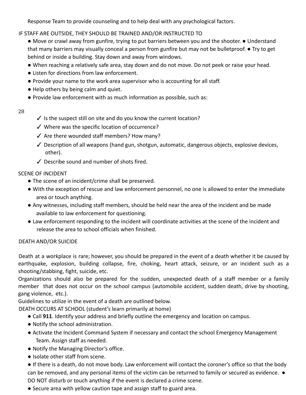Response Team to provide counseling and to help deal with any psychological factors.

#### IF STAFF ARE OUTSIDE, THEY SHOULD BE TRAINED AND/OR INSTRUCTED TO

● Move or crawl away from gunfire, trying to put barriers between you and the shooter. ● Understand that many barriers may visually conceal a person from gunfire but may not be bulletproof. ● Try to get behind or inside a building. Stay down and away from windows.

- When reaching a relatively safe area, stay down and do not move. Do not peek or raise your head.
- Listen for directions from law enforcement.
- Provide your name to the work area supervisor who is accounting for all staff.
- Help others by being calm and quiet.
- Provide law enforcement with as much information as possible, such as:

#### 28

- $\checkmark$  is the suspect still on site and do you know the current location?
- ✓ Where was the specific location of occurrence?
- ✓ Are there wounded staff members? How many?
- ✓ Description of all weapons (hand gun, shotgun, automatic, dangerous objects, explosive devices, other).
- ✓ Describe sound and number of shots fired.

#### SCENE OF INCIDENT

- The scene of an incident/crime shall be preserved.
- With the exception of rescue and law enforcement personnel, no one is allowed to enter the immediate area or touch anything.
- Any witnesses, including staff members, should be held near the area of the incident and be made available to law enforcement for questioning.
- Law enforcement responding to the incident will coordinate activities at the scene of the incident and release the area to school officials when finished.

## DEATH AND/OR SUICIDE

Death at a workplace is rare; however, you should be prepared in the event of a death whether it be caused by earthquake, explosion, building collapse, fire, choking, heart attack, seizure, or an incident such as a shooting/stabbing, fight, suicide, etc.

Organizations should also be prepared for the sudden, unexpected death of a staff member or a family member that does not occur on the school campus (automobile accident, sudden death, drive by shooting, gang violence, etc.).

Guidelines to utilize in the event of a death are outlined below.

DEATH OCCURS AT SCHOOL (student's learn primarily at home)

- Call **911**. Identify your address and briefly outline the emergency and location on campus.
- Notify the school administration.
- Activate the Incident Command System if necessary and contact the school Emergency Management Team. Assign staff as needed.
- Notify the Managing Director's office.
- Isolate other staff from scene.

● If there is a death, do not move body. Law enforcement will contact the coroner's office so that the body can be removed, and any personal items of the victim can be returned to family or secured as evidence. ● DO NOT disturb or touch anything if the event is declared a crime scene.

● Secure area with yellow caution tape and assign staff to guard area.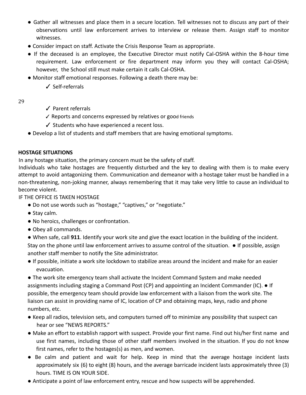- Gather all witnesses and place them in a secure location. Tell witnesses not to discuss any part of their observations until law enforcement arrives to interview or release them. Assign staff to monitor witnesses.
- Consider impact on staff. Activate the Crisis Response Team as appropriate.
- If the deceased is an employee, the Executive Director must notify Cal-OSHA within the 8-hour time requirement. Law enforcement or fire department may inform you they will contact Cal-OSHA; however, the School still must make certain it calls Cal-OSHA.
- Monitor staff emotional responses. Following a death there may be:
	- ✓ Self-referrals

#### 29

- ✓ Parent referrals
- ✓ Reports and concerns expressed by relatives or good friends
- ✓ Students who have experienced a recent loss.
- Develop a list of students and staff members that are having emotional symptoms.

#### **HOSTAGE SITUATIONS**

In any hostage situation, the primary concern must be the safety of staff.

Individuals who take hostages are frequently disturbed and the key to dealing with them is to make every attempt to avoid antagonizing them. Communication and demeanor with a hostage taker must be handled in a non-threatening, non-joking manner, always remembering that it may take very little to cause an individual to become violent.

IF THE OFFICE IS TAKEN HOSTAGE

- Do not use words such as "hostage," "captives," or "negotiate."
- Stay calm.
- No heroics, challenges or confrontation.
- Obey all commands.

● When safe, call **911**. Identify your work site and give the exact location in the building of the incident. Stay on the phone until law enforcement arrives to assume control of the situation. ● If possible, assign another staff member to notify the Site administrator.

● If possible, initiate a work site lockdown to stabilize areas around the incident and make for an easier evacuation.

● The work site emergency team shall activate the Incident Command System and make needed assignments including staging a Command Post (CP) and appointing an Incident Commander (IC). ● If possible, the emergency team should provide law enforcement with a liaison from the work site. The liaison can assist in providing name of IC, location of CP and obtaining maps, keys, radio and phone numbers, etc.

- Keep all radios, television sets, and computers turned off to minimize any possibility that suspect can hear or see "NEWS REPORTS."
- Make an effort to establish rapport with suspect. Provide your first name. Find out his/her first name and use first names, including those of other staff members involved in the situation. If you do not know first names, refer to the hostages(s) as men, and women.
- Be calm and patient and wait for help. Keep in mind that the average hostage incident lasts approximately six (6) to eight (8) hours, and the average barricade incident lasts approximately three (3) hours. TIME IS ON YOUR SIDE.
- Anticipate a point of law enforcement entry, rescue and how suspects will be apprehended.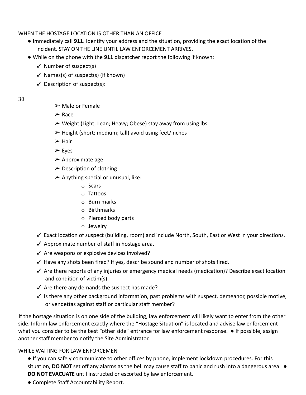WHEN THE HOSTAGE LOCATION IS OTHER THAN AN OFFICE

- Immediately call **911**. Identify your address and the situation, providing the exact location of the incident. STAY ON THE LINE UNTIL LAW ENFORCEMENT ARRIVES.
- While on the phone with the **911** dispatcher report the following if known:
	- $\checkmark$  Number of suspect(s)
	- $\checkmark$  Names(s) of suspect(s) (if known)
	- $\checkmark$  Description of suspect(s):
- 30
- $\triangleright$  Male or Female
- ➢ Race
- $\triangleright$  Weight (Light; Lean; Heavy; Obese) stay away from using lbs.
- $\triangleright$  Height (short; medium; tall) avoid using feet/inches
- ➢ Hair
- ➢ Eyes
- $\triangleright$  Approximate age
- $\triangleright$  Description of clothing
- $\triangleright$  Anything special or unusual, like:
	- o Scars
	- o Tattoos
	- o Burn marks
	- o Birthmarks
	- o Pierced body parts
	- o Jewelry
- ✓ Exact location of suspect (building, room) and include North, South, East or West in your directions.
- ✓ Approximate number of staff in hostage area.
- $\checkmark$  Are weapons or explosive devices involved?
- $\checkmark$  Have any shots been fired? If yes, describe sound and number of shots fired.
- ✓ Are there reports of any injuries or emergency medical needs (medication)? Describe exact location and condition of victim(s).
- $\checkmark$  Are there any demands the suspect has made?
- ✓ Is there any other background information, past problems with suspect, demeanor, possible motive, or vendettas against staff or particular staff member?

If the hostage situation is on one side of the building, law enforcement will likely want to enter from the other side. Inform law enforcement exactly where the "Hostage Situation" is located and advise law enforcement what you consider to be the best "other side" entrance for law enforcement response. ● If possible, assign another staff member to notify the Site Administrator.

#### WHILE WAITING FOR LAW ENFORCEMENT

- If you can safely communicate to other offices by phone, implement lockdown procedures. For this situation, **DO NOT** set off any alarms as the bell may cause staff to panic and rush into a dangerous area. ● **DO NOT EVACUATE** until instructed or escorted by law enforcement.
- Complete Staff Accountability Report.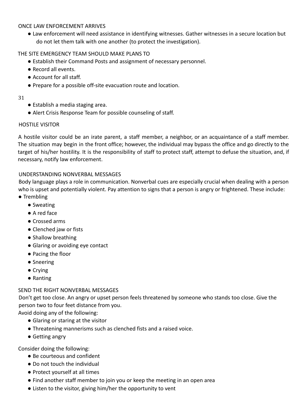#### ONCE LAW ENFORCEMENT ARRIVES

● Law enforcement will need assistance in identifying witnesses. Gather witnesses in a secure location but do not let them talk with one another (to protect the investigation).

#### THE SITE EMERGENCY TEAM SHOULD MAKE PLANS TO

- Establish their Command Posts and assignment of necessary personnel.
- Record all events.
- Account for all staff.
- Prepare for a possible off-site evacuation route and location.

#### 31

- Establish a media staging area.
- Alert Crisis Response Team for possible counseling of staff.

#### HOSTILE VISITOR

A hostile visitor could be an irate parent, a staff member, a neighbor, or an acquaintance of a staff member. The situation may begin in the front office; however, the individual may bypass the office and go directly to the target of his/her hostility. It is the responsibility of staff to protect staff, attempt to defuse the situation, and, if necessary, notify law enforcement.

#### UNDERSTANDING NONVERBAL MESSAGES

Body language plays a role in communication. Nonverbal cues are especially crucial when dealing with a person who is upset and potentially violent. Pay attention to signs that a person is angry or frightened. These include: ● Trembling

- Sweating
- A red face
- Crossed arms
- Clenched jaw or fists
- Shallow breathing
- Glaring or avoiding eye contact
- Pacing the floor
- Sneering
- Crying
- Ranting

#### SEND THE RIGHT NONVERBAL MESSAGES

Don't get too close. An angry or upset person feels threatened by someone who stands too close. Give the person two to four feet distance from you.

Avoid doing any of the following:

- Glaring or staring at the visitor
- Threatening mannerisms such as clenched fists and a raised voice.
- Getting angry

Consider doing the following:

- Be courteous and confident
- Do not touch the individual
- Protect yourself at all times
- Find another staff member to join you or keep the meeting in an open area
- Listen to the visitor, giving him/her the opportunity to vent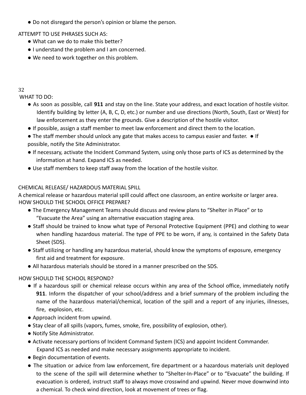● Do not disregard the person's opinion or blame the person.

ATTEMPT TO USE PHRASES SUCH AS:

- What can we do to make this better?
- I understand the problem and I am concerned.
- We need to work together on this problem.

#### 32

WHAT TO DO:

- As soon as possible, call **911** and stay on the line. State your address, and exact location of hostile visitor. Identify building by letter (A, B, C, D, etc.) or number and use directions (North, South, East or West) for law enforcement as they enter the grounds. Give a description of the hostile visitor.
- If possible, assign a staff member to meet law enforcement and direct them to the location.
- The staff member should unlock any gate that makes access to campus easier and faster. If possible, notify the Site Administrator.
- If necessary, activate the Incident Command System, using only those parts of ICS as determined by the information at hand. Expand ICS as needed.
- Use staff members to keep staff away from the location of the hostile visitor.

#### CHEMICAL RELEASE/ HAZARDOUS MATERIAL SPILL

A chemical release or hazardous material spill could affect one classroom, an entire worksite or larger area. HOW SHOULD THE SCHOOL OFFICE PREPARE?

- The Emergency Management Teams should discuss and review plans to "Shelter in Place" or to "Evacuate the Area" using an alternative evacuation staging area.
- Staff should be trained to know what type of Personal Protective Equipment (PPE) and clothing to wear when handling hazardous material. The type of PPE to be worn, if any, is contained in the Safety Data Sheet (SDS).
- Staff utilizing or handling any hazardous material, should know the symptoms of exposure, emergency first aid and treatment for exposure.
- All hazardous materials should be stored in a manner prescribed on the SDS.

## HOW SHOULD THE SCHOOL RESPOND?

- If a hazardous spill or chemical release occurs within any area of the School office, immediately notify **911**. Inform the dispatcher of your school/address and a brief summary of the problem including the name of the hazardous material/chemical, location of the spill and a report of any injuries, illnesses, fire, explosion, etc.
- Approach incident from upwind.
- Stay clear of all spills (vapors, fumes, smoke, fire, possibility of explosion, other).
- Notify Site Administrator.
- Activate necessary portions of Incident Command System (ICS) and appoint Incident Commander. Expand ICS as needed and make necessary assignments appropriate to incident.
- Begin documentation of events.
- The situation or advice from law enforcement, fire department or a hazardous materials unit deployed to the scene of the spill will determine whether to "Shelter-In-Place" or to "Evacuate" the building. If evacuation is ordered, instruct staff to always move crosswind and upwind. Never move downwind into a chemical. To check wind direction, look at movement of trees or flag.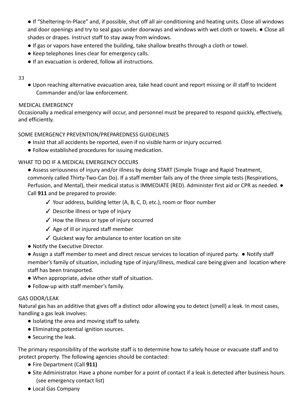● If "Sheltering-In-Place" and, if possible, shut off all air-conditioning and heating units. Close all windows and door openings and try to seal gaps under doorways and windows with wet cloth or towels. ● Close all shades or drapes. Instruct staff to stay away from windows.

- If gas or vapors have entered the building, take shallow breaths through a cloth or towel.
- Keep telephones lines clear for emergency calls.
- If an evacuation is ordered, follow all instructions.

#### 33

● Upon reaching alternative evacuation area, take head count and report missing or ill staff to Incident Commander and/or law enforcement.

#### MEDICAL EMERGENCY

Occasionally a medical emergency will occur, and personnel must be prepared to respond quickly, effectively, and efficiently.

#### SOME EMERGENCY PREVENTION/PREPAREDNESS GUIDELINES

- Insist that all accidents be reported, even if no visible harm or injury occurred.
- Follow established procedures for issuing medication.

#### WHAT TO DO IF A MEDICAL EMERGENCY OCCURS

- Assess seriousness of injury and/or illness by doing START (Simple Triage and Rapid Treatment, commonly called Thirty-Two-Can Do). If a staff member fails any of the three simple tests (Respirations, Perfusion, and Mental), their medical status is IMMEDIATE (RED). Administer first aid or CPR as needed. ● Call **911** and be prepared to provide:
	- ✓ Your address, building letter (A, B, C, D, etc.), room or floor number
	- ✓ Describe illness or type of injury
	- ✓ How the illness or type of injury occurred
	- $\angle$  Age of ill or injured staff member
	- ✓ Quickest way for ambulance to enter location on site
- Notify the Executive Director.
- Assign a staff member to meet and direct rescue services to location of injured party. Notify staff member's family of situation, including type of injury/illness, medical care being given and location where staff has been transported.
- When appropriate, advise other staff of situation.
- Follow-up with staff member's family.

#### GAS ODOR/LEAK

Natural gas has an additive that gives off a distinct odor allowing you to detect (smell) a leak. In most cases, handling a gas leak involves:

- Isolating the area and moving staff to safety.
- Eliminating potential ignition sources.
- Securing the leak.

The primary responsibility of the worksite staff is to determine how to safely house or evacuate staff and to protect property. The following agencies should be contacted:

- Fire Department (Call **911)**
- Site Administrator. Have a phone number for a point of contact if a leak is detected after business hours. (see emergency contact list)
- Local Gas Company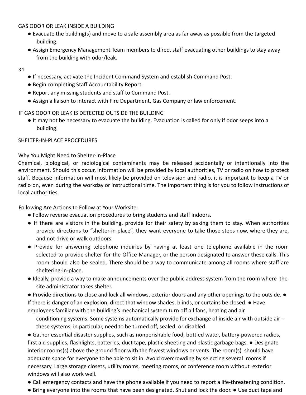#### GAS ODOR OR LEAK INSIDE A BUILDING

- Evacuate the building(s) and move to a safe assembly area as far away as possible from the targeted building.
- Assign Emergency Management Team members to direct staff evacuating other buildings to stay away from the building with odor/leak.
- 34
- If necessary, activate the Incident Command System and establish Command Post.
- Begin completing Staff Accountability Report.
- Report any missing students and staff to Command Post.
- Assign a liaison to interact with Fire Department, Gas Company or law enforcement.

#### IF GAS ODOR OR LEAK IS DETECTED OUTSIDE THE BUILDING

● It may not be necessary to evacuate the building. Evacuation is called for only if odor seeps into a building.

#### SHELTER-IN-PLACE PROCEDURES

#### Why You Might Need to Shelter-In-Place

Chemical, biological, or radiological contaminants may be released accidentally or intentionally into the environment. Should this occur, information will be provided by local authorities, TV or radio on how to protect staff. Because information will most likely be provided on television and radio, it is important to keep a TV or radio on, even during the workday or instructional time. The important thing is for you to follow instructions of local authorities.

Following Are Actions to Follow at Your Worksite:

- Follow reverse evacuation procedures to bring students and staff indoors.
- If there are visitors in the building, provide for their safety by asking them to stay. When authorities provide directions to "shelter-in-place", they want everyone to take those steps now, where they are, and not drive or walk outdoors.
- Provide for answering telephone inquiries by having at least one telephone available in the room selected to provide shelter for the Office Manager, or the person designated to answer these calls. This room should also be sealed. There should be a way to communicate among all rooms where staff are sheltering-in-place.
- Ideally, provide a way to make announcements over the public address system from the room where the site administrator takes shelter.
- Provide directions to close and lock all windows, exterior doors and any other openings to the outside. If there is danger of an explosion, direct that window shades, blinds, or curtains be closed. ● Have employees familiar with the building's mechanical system turn off all fans, heating and air
	- conditioning systems. Some systems automatically provide for exchange of inside air with outside air these systems, in particular, need to be turned off, sealed, or disabled.
- Gather essential disaster supplies, such as nonperishable food, bottled water, battery-powered radios, first aid supplies, flashlights, batteries, duct tape, plastic sheeting and plastic garbage bags. ● Designate interior rooms(s) above the ground floor with the fewest windows or vents. The room(s) should have adequate space for everyone to be able to sit in. Avoid overcrowding by selecting several rooms if necessary. Large storage closets, utility rooms, meeting rooms, or conference room without exterior windows will also work well.
- Call emergency contacts and have the phone available if you need to report a life-threatening condition.
- Bring everyone into the rooms that have been designated. Shut and lock the door. Use duct tape and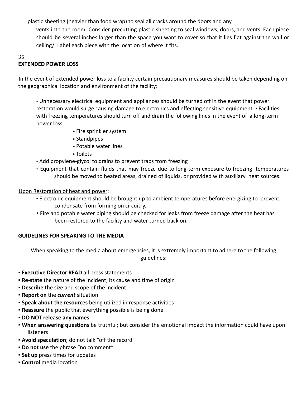plastic sheeting (heavier than food wrap) to seal all cracks around the doors and any

vents into the room. Consider precutting plastic sheeting to seal windows, doors, and vents. Each piece should be several inches larger than the space you want to cover so that it lies flat against the wall or ceiling/. Label each piece with the location of where it fits.

#### 35

## **EXTENDED POWER LOSS**

In the event of extended power loss to a facility certain precautionary measures should be taken depending on the geographical location and environment of the facility:

• Unnecessary electrical equipment and appliances should be turned off in the event that power restoration would surge causing damage to electronics and effecting sensitive equipment. • Facilities with freezing temperatures should turn off and drain the following lines in the event of a long-term power loss.

- Fire sprinkler system
- Standpipes
- Potable water lines
- Toilets
- Add propylene-glycol to drains to prevent traps from freezing
- Equipment that contain fluids that may freeze due to long term exposure to freezing temperatures should be moved to heated areas, drained of liquids, or provided with auxiliary heat sources.

Upon Restoration of heat and power:

- Electronic equipment should be brought up to ambient temperatures before energizing to prevent condensate from forming on circuitry.
- Fire and potable water piping should be checked for leaks from freeze damage after the heat has been restored to the facility and water turned back on.

## **GUIDELINES FOR SPEAKING TO THE MEDIA**

When speaking to the media about emergencies, it is extremely important to adhere to the following guidelines:

- **Executive Director READ** all press statements
- **Re-state** the nature of the incident; its cause and time of origin
- **Describe** the size and scope of the incident
- **Report on** the *current* situation
- **Speak about the resources** being utilized in response activities
- **Reassure** the public that everything possible is being done
- **DO NOT release any names**
- **When answering questions** be truthful; but consider the emotional impact the information could have upon listeners
- **Avoid speculation**; do not talk "off the record"
- **Do not use** the phrase "no comment"
- **Example 1 Set up** press times for updates
- **Control** media location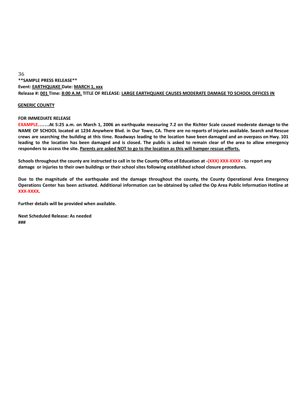## **\*\*SAMPLE PRESS RELEASE\*\* Event: EARTHQUAKE Date: MARCH 1, xxx** Release #: 001 Time: 8:00 A.M. TITLE OF RELEASE: LARGE EARTHQUAKE CAUSES MODERATE DAMAGE TO SCHOOL OFFICES IN

#### **GENERIC COUNTY**

#### **FOR IMMEDIATE RELEASE**

EXAMPLE.......At 5:25 a.m. on March 1, 2006 an earthquake measuring 7.2 on the Richter Scale caused moderate damage to the NAME OF SCHOOL located at 1234 Anywhere Blvd. in Our Town, CA. There are no reports of injuries available. Search and Rescue crews are searching the building at this time. Roadways leading to the location have been damaged and an overpass on Hwy. 101 leading to the location has been damaged and is closed. The public is asked to remain clear of the area to allow emergency responders to access the site. Parents are asked NOT to go to the location as this will hamper rescue efforts.

Schools throughout the county are instructed to call in to the County Office of Education at -(XXX) XXX-XXXX - to report any **damage or injuries to their own buildings or their school sites following established school closure procedures.**

Due to the magnitude of the earthquake and the damage throughout the county, the County Operational Area Emergency Operations Center has been activated. Additional information can be obtained by called the Op Area Public Information Hotline at **XXX-XXXX.**

**Further details will be provided when available.**

**Next Scheduled Release: As needed ###**

36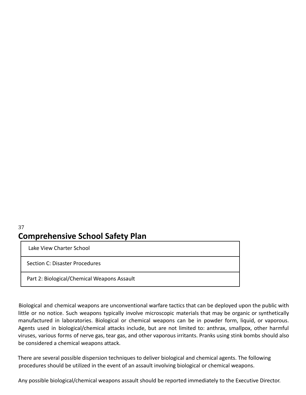### 37 **Comprehensive School Safety Plan**

Lake View Charter School

Section C: Disaster Procedures

Part 2: Biological/Chemical Weapons Assault

Biological and chemical weapons are unconventional warfare tactics that can be deployed upon the public with little or no notice. Such weapons typically involve microscopic materials that may be organic or synthetically manufactured in laboratories. Biological or chemical weapons can be in powder form, liquid, or vaporous. Agents used in biological/chemical attacks include, but are not limited to: anthrax, smallpox, other harmful viruses, various forms of nerve gas, tear gas, and other vaporous irritants. Pranks using stink bombs should also be considered a chemical weapons attack.

There are several possible dispersion techniques to deliver biological and chemical agents. The following procedures should be utilized in the event of an assault involving biological or chemical weapons.

Any possible biological/chemical weapons assault should be reported immediately to the Executive Director.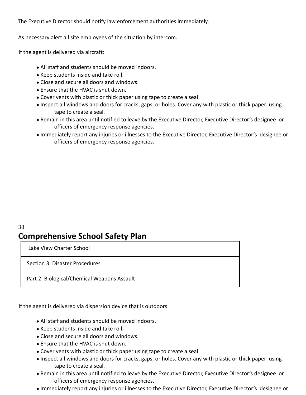The Executive Director should notify law enforcement authorities immediately.

As necessary alert all site employees of the situation by intercom.

If the agent is delivered via aircraft:

- All staff and students should be moved indoors.
- Keep students inside and take roll.
- Close and secure all doors and windows.
- Ensure that the HVAC is shut down.
- Cover vents with plastic or thick paper using tape to create a seal.
- Inspect all windows and doors for cracks, gaps, or holes. Cover any with plastic or thick paper using tape to create a seal.
- Remain in this area until notified to leave by the Executive Director, Executive Director's designee or officers of emergency response agencies.
- Immediately report any injuries or illnesses to the Executive Director, Executive Director's designee or officers of emergency response agencies.

### 38 **Comprehensive School Safety Plan**

Lake View Charter School

Section 3: Disaster Procedures

Part 2: Biological/Chemical Weapons Assault

If the agent is delivered via dispersion device that is outdoors:

- All staff and students should be moved indoors.
- Keep students inside and take roll.
- Close and secure all doors and windows.
- Ensure that the HVAC is shut down.
- Cover vents with plastic or thick paper using tape to create a seal.
- Inspect all windows and doors for cracks, gaps, or holes. Cover any with plastic or thick paper using tape to create a seal.
- Remain in this area until notified to leave by the Executive Director, Executive Director's designee or officers of emergency response agencies.
- Immediately report any injuries or illnesses to the Executive Director, Executive Director's designee or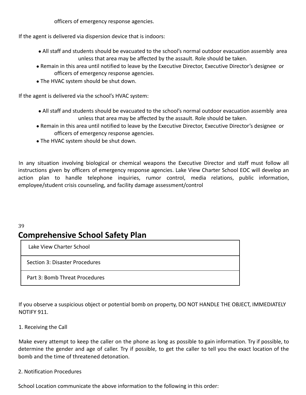officers of emergency response agencies.

If the agent is delivered via dispersion device that is indoors:

- All staff and students should be evacuated to the school's normal outdoor evacuation assembly area unless that area may be affected by the assault. Role should be taken.
- Remain in this area until notified to leave by the Executive Director, Executive Director's designee or officers of emergency response agencies.
- The HVAC system should be shut down.

If the agent is delivered via the school's HVAC system:

- All staff and students should be evacuated to the school's normal outdoor evacuation assembly area unless that area may be affected by the assault. Role should be taken.
- Remain in this area until notified to leave by the Executive Director, Executive Director's designee or officers of emergency response agencies.
- The HVAC system should be shut down.

In any situation involving biological or chemical weapons the Executive Director and staff must follow all instructions given by officers of emergency response agencies. Lake View Charter School EOC will develop an action plan to handle telephone inquiries, rumor control, media relations, public information, employee/student crisis counseling, and facility damage assessment/control

### 39 **Comprehensive School Safety Plan**

Lake View Charter School

Section 3: Disaster Procedures

Part 3: Bomb Threat Procedures

If you observe a suspicious object or potential bomb on property, DO NOT HANDLE THE OBJECT, IMMEDIATELY NOTIFY 911.

#### 1. Receiving the Call

Make every attempt to keep the caller on the phone as long as possible to gain information. Try if possible, to determine the gender and age of caller. Try if possible, to get the caller to tell you the exact location of the bomb and the time of threatened detonation.

#### 2. Notification Procedures

School Location communicate the above information to the following in this order: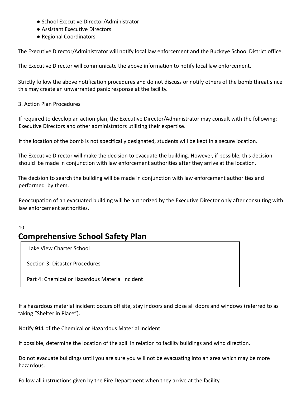- School Executive Director/Administrator
- Assistant Executive Directors
- Regional Coordinators

The Executive Director/Administrator will notify local law enforcement and the Buckeye School District office.

The Executive Director will communicate the above information to notify local law enforcement.

Strictly follow the above notification procedures and do not discuss or notify others of the bomb threat since this may create an unwarranted panic response at the facility.

#### 3. Action Plan Procedures

If required to develop an action plan, the Executive Director/Administrator may consult with the following: Executive Directors and other administrators utilizing their expertise.

If the location of the bomb is not specifically designated, students will be kept in a secure location.

The Executive Director will make the decision to evacuate the building. However, if possible, this decision should be made in conjunction with law enforcement authorities after they arrive at the location.

The decision to search the building will be made in conjunction with law enforcement authorities and performed by them.

Reoccupation of an evacuated building will be authorized by the Executive Director only after consulting with law enforcement authorities.

### 40 **Comprehensive School Safety Plan**

Lake View Charter School

Section 3: Disaster Procedures

Part 4: Chemical or Hazardous Material Incident

If a hazardous material incident occurs off site, stay indoors and close all doors and windows (referred to as taking "Shelter in Place").

Notify **911** of the Chemical or Hazardous Material Incident.

If possible, determine the location of the spill in relation to facility buildings and wind direction.

Do not evacuate buildings until you are sure you will not be evacuating into an area which may be more hazardous.

Follow all instructions given by the Fire Department when they arrive at the facility.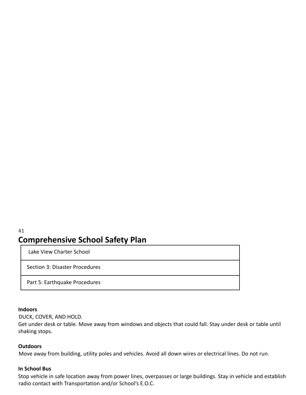### 41 **Comprehensive School Safety Plan**

Lake View Charter School

Section 3: Disaster Procedures

Part 5: Earthquake Procedures

#### **Indoors**

DUCK, COVER, AND HOLD.

Get under desk or table. Move away from windows and objects that could fall. Stay under desk or table until shaking stops.

#### **Outdoors**

Move away from building, utility poles and vehicles. Avoid all down wires or electrical lines. Do not run.

#### **In School Bus**

Stop vehicle in safe location away from power lines, overpasses or large buildings. Stay in vehicle and establish radio contact with Transportation and/or School's E.O.C.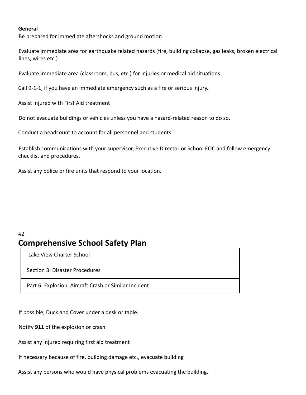#### **General**

Be prepared for immediate aftershocks and ground motion

Evaluate immediate area for earthquake related hazards (fire, building collapse, gas leaks, broken electrical lines, wires etc.)

Evaluate immediate area (classroom, bus, etc.) for injuries or medical aid situations.

Call 9-1-1, if you have an immediate emergency such as a fire or serious injury.

Assist injured with First Aid treatment

Do not evacuate buildings or vehicles unless you have a hazard-related reason to do so.

Conduct a headcount to account for all personnel and students

Establish communications with your supervisor, Executive Director or School EOC and follow emergency checklist and procedures.

Assist any police or fire units that respond to your location.

#### 42 **Comprehensive School Safety Plan**

Lake View Charter School

Section 3: Disaster Procedures

Part 6: Explosion, Aircraft Crash or Similar Incident

If possible, Duck and Cover under a desk or table.

Notify **911** of the explosion or crash

Assist any injured requiring first aid treatment

If necessary because of fire, building damage etc., evacuate building

Assist any persons who would have physical problems evacuating the building.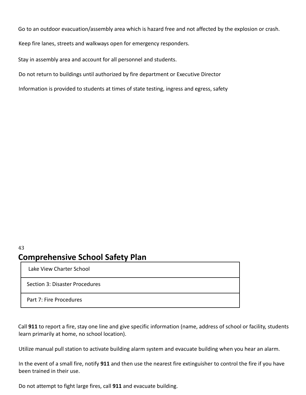Go to an outdoor evacuation/assembly area which is hazard free and not affected by the explosion or crash.

Keep fire lanes, streets and walkways open for emergency responders.

Stay in assembly area and account for all personnel and students.

Do not return to buildings until authorized by fire department or Executive Director

Information is provided to students at times of state testing, ingress and egress, safety

#### 43 **Comprehensive School Safety Plan**

Lake View Charter School

Section 3: Disaster Procedures

Part 7: Fire Procedures

Call **911** to report a fire, stay one line and give specific information (name, address of school or facility, students learn primarily at home, no school location).

Utilize manual pull station to activate building alarm system and evacuate building when you hear an alarm.

In the event of a small fire, notify **911** and then use the nearest fire extinguisher to control the fire if you have been trained in their use.

Do not attempt to fight large fires, call **911** and evacuate building.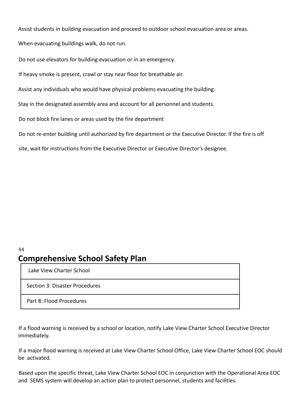Assist students in building evacuation and proceed to outdoor school evacuation area or areas.

When evacuating buildings walk, do not run.

Do not use elevators for building evacuation or in an emergency.

If heavy smoke is present, crawl or stay near floor for breathable air.

Assist any individuals who would have physical problems evacuating the building.

Stay in the designated assembly area and account for all personnel and students.

Do not block fire lanes or areas used by the fire department

Do not re-enter building until authorized by fire department or the Executive Director. If the fire is off

site, wait for instructions from the Executive Director or Executive Director's designee.

# **Comprehensive School Safety Plan**

Lake View Charter School

44

Section 3: Disaster Procedures

Part 8: Flood Procedures

If a flood warning is received by a school or location, notify Lake View Charter School Executive Director immediately.

If a major flood warning is received at Lake View Charter School Office, Lake View Charter School EOC should be activated.

Based upon the specific threat, Lake View Charter School EOC in conjunction with the Operational Area EOC and SEMS system will develop an action plan to protect personnel, students and facilities.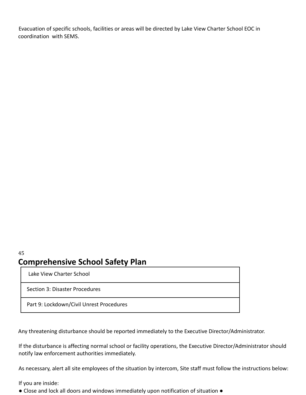Evacuation of specific schools, facilities or areas will be directed by Lake View Charter School EOC in coordination with SEMS.

### 45 **Comprehensive School Safety Plan**

Lake View Charter School

Section 3: Disaster Procedures

Part 9: Lockdown/Civil Unrest Procedures

Any threatening disturbance should be reported immediately to the Executive Director/Administrator.

If the disturbance is affecting normal school or facility operations, the Executive Director/Administrator should notify law enforcement authorities immediately.

As necessary, alert all site employees of the situation by intercom, Site staff must follow the instructions below:

If you are inside:

● Close and lock all doors and windows immediately upon notification of situation ●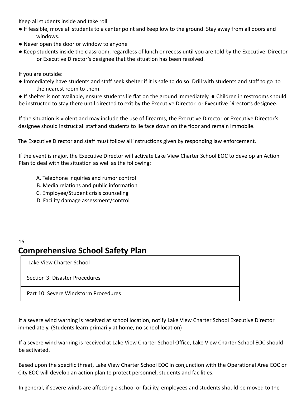Keep all students inside and take roll

- If feasible, move all students to a center point and keep low to the ground. Stay away from all doors and windows.
- Never open the door or window to anyone
- Keep students inside the classroom, regardless of lunch or recess until you are told by the Executive Director or Executive Director's designee that the situation has been resolved.

If you are outside:

● Immediately have students and staff seek shelter if it is safe to do so. Drill with students and staff to go to the nearest room to them.

● If shelter is not available, ensure students lie flat on the ground immediately. ● Children in restrooms should be instructed to stay there until directed to exit by the Executive Director or Executive Director's designee.

If the situation is violent and may include the use of firearms, the Executive Director or Executive Director's designee should instruct all staff and students to lie face down on the floor and remain immobile.

The Executive Director and staff must follow all instructions given by responding law enforcement.

If the event is major, the Executive Director will activate Lake View Charter School EOC to develop an Action Plan to deal with the situation as well as the following:

- A. Telephone inquiries and rumor control
- B. Media relations and public information
- C. Employee/Student crisis counseling
- D. Facility damage assessment/control

### 46 **Comprehensive School Safety Plan**

Lake View Charter School

Section 3: Disaster Procedures

Part 10: Severe Windstorm Procedures

If a severe wind warning is received at school location, notify Lake View Charter School Executive Director immediately. (Students learn primarily at home, no school location)

If a severe wind warning is received at Lake View Charter School Office, Lake View Charter School EOC should be activated.

Based upon the specific threat, Lake View Charter School EOC in conjunction with the Operational Area EOC or City EOC will develop an action plan to protect personnel, students and facilities.

In general, if severe winds are affecting a school or facility, employees and students should be moved to the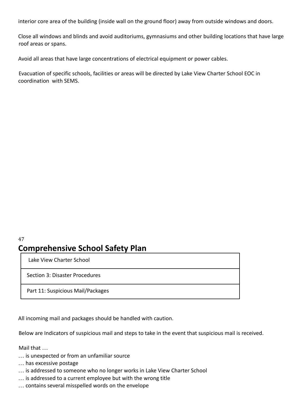interior core area of the building (inside wall on the ground floor) away from outside windows and doors.

Close all windows and blinds and avoid auditoriums, gymnasiums and other building locations that have large roof areas or spans.

Avoid all areas that have large concentrations of electrical equipment or power cables.

Evacuation of specific schools, facilities or areas will be directed by Lake View Charter School EOC in coordination with SEMS.

### 47 **Comprehensive School Safety Plan**

Lake View Charter School

Section 3: Disaster Procedures

Part 11: Suspicious Mail/Packages

All incoming mail and packages should be handled with caution.

Below are Indicators of suspicious mail and steps to take in the event that suspicious mail is received.

Mail that …

- … is unexpected or from an unfamiliar source
- … has excessive postage
- … is addressed to someone who no longer works in Lake View Charter School
- … is addressed to a current employee but with the wrong title
- … contains several misspelled words on the envelope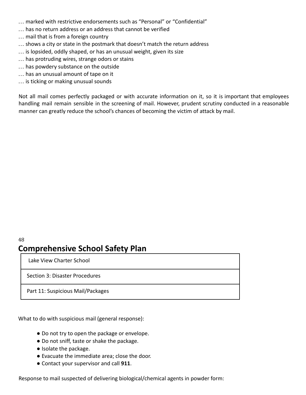- … marked with restrictive endorsements such as "Personal" or "Confidential"
- … has no return address or an address that cannot be verified
- … mail that is from a foreign country
- … shows a city or state in the postmark that doesn't match the return address
- … is lopsided, oddly shaped, or has an unusual weight, given its size
- … has protruding wires, strange odors or stains
- … has powdery substance on the outside
- … has an unusual amount of tape on it
- … is ticking or making unusual sounds

Not all mail comes perfectly packaged or with accurate information on it, so it is important that employees handling mail remain sensible in the screening of mail. However, prudent scrutiny conducted in a reasonable manner can greatly reduce the school's chances of becoming the victim of attack by mail.

### 48 **Comprehensive School Safety Plan**

Lake View Charter School

Section 3: Disaster Procedures

Part 11: Suspicious Mail/Packages

What to do with suspicious mail (general response):

- Do not try to open the package or envelope.
- Do not sniff, taste or shake the package.
- Isolate the package.
- Evacuate the immediate area; close the door.
- Contact your supervisor and call **911**.

Response to mail suspected of delivering biological/chemical agents in powder form: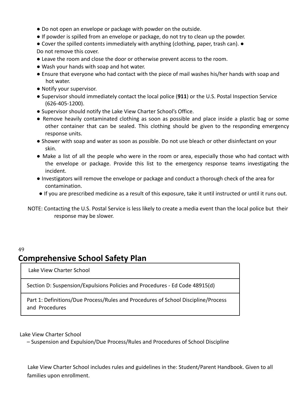- Do not open an envelope or package with powder on the outside.
- If powder is spilled from an envelope or package, do not try to clean up the powder.
- Cover the spilled contents immediately with anything (clothing, paper, trash can). Do not remove this cover.
- Leave the room and close the door or otherwise prevent access to the room.
- Wash your hands with soap and hot water.
- Ensure that everyone who had contact with the piece of mail washes his/her hands with soap and hot water.
- Notify your supervisor.
- Supervisor should immediately contact the local police (**911**) or the U.S. Postal Inspection Service (626-405-1200).
- Supervisor should notify the Lake View Charter School's Office.
- Remove heavily contaminated clothing as soon as possible and place inside a plastic bag or some other container that can be sealed. This clothing should be given to the responding emergency response units.
- Shower with soap and water as soon as possible. Do not use bleach or other disinfectant on your skin.
- Make a list of all the people who were in the room or area, especially those who had contact with the envelope or package. Provide this list to the emergency response teams investigating the incident.
- Investigators will remove the envelope or package and conduct a thorough check of the area for contamination.
- If you are prescribed medicine as a result of this exposure, take it until instructed or until it runs out.
- NOTE: Contacting the U.S. Postal Service is less likely to create a media event than the local police but their response may be slower.

#### 49 **Comprehensive School Safety Plan**

Lake View Charter School

Section D: Suspension/Expulsions Policies and Procedures - Ed Code 48915(d)

Part 1: Definitions/Due Process/Rules and Procedures of School Discipline/Process and Procedures

Lake View Charter School

– Suspension and Expulsion/Due Process/Rules and Procedures of School Discipline

Lake View Charter School includes rules and guidelines in the: Student/Parent Handbook. Given to all families upon enrollment.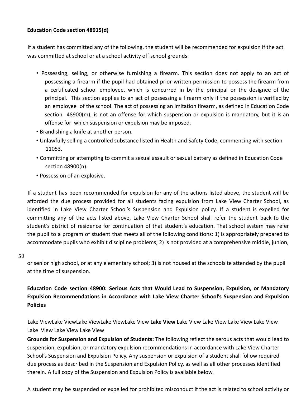#### **Education Code section 48915(d)**

If a student has committed any of the following, the student will be recommended for expulsion if the act was committed at school or at a school activity off school grounds:

- Possessing, selling, or otherwise furnishing a firearm. This section does not apply to an act of possessing a firearm if the pupil had obtained prior written permission to possess the firearm from a certificated school employee, which is concurred in by the principal or the designee of the principal. This section applies to an act of possessing a firearm only if the possession is verified by an employee of the school. The act of possessing an imitation firearm, as defined in Education Code section 48900(m), is not an offense for which suspension or expulsion is mandatory, but it is an offense for which suspension or expulsion may be imposed.
- Brandishing a knife at another person.
- Unlawfully selling a controlled substance listed in Health and Safety Code, commencing with section 11053.
- Committing or attempting to commit a sexual assault or sexual battery as defined in Education Code section 48900(n).
- Possession of an explosive.

If a student has been recommended for expulsion for any of the actions listed above, the student will be afforded the due process provided for all students facing expulsion from Lake View Charter School, as identified in Lake View Charter School's Suspension and Expulsion policy. If a student is expelled for committing any of the acts listed above, Lake View Charter School shall refer the student back to the student's district of residence for continuation of that student's education. That school system may refer the pupil to a program of student that meets all of the following conditions: 1) is appropriately prepared to accommodate pupils who exhibit discipline problems; 2) is not provided at a comprehensive middle, junion,

50

or senior high school, or at any elementary school; 3) is not housed at the schoolsite attended by the pupil at the time of suspension.

**Education Code section 48900: Serious Acts that Would Lead to Suspension, Expulsion, or Mandatory Expulsion Recommendations in Accordance with Lake View Charter School's Suspension and Expulsion Policies**

Lake ViewLake ViewLake ViewLake ViewLake View **Lake View** Lake View Lake View Lake View Lake View Lake View Lake View Lake View

**Grounds for Suspension and Expulsion of Students:** The following reflect the serous acts that would lead to suspension, expulsion, or mandatory expulsion recommendations in accordance with Lake View Charter School's Suspension and Expulsion Policy. Any suspension or expulsion of a student shall follow required due process as described in the Suspension and Expulsion Policy, as well as all other processes identified therein. A full copy of the Suspension and Expulsion Policy is available below.

A student may be suspended or expelled for prohibited misconduct if the act is related to school activity or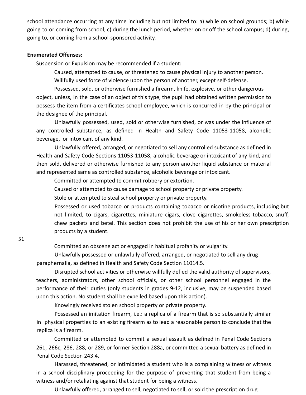school attendance occurring at any time including but not limited to: a) while on school grounds; b) while going to or coming from school; c) during the lunch period, whether on or off the school campus; d) during, going to, or coming from a school-sponsored activity.

#### **Enumerated Offenses:**

Suspension or Expulsion may be recommended if a student:

Caused, attempted to cause, or threatened to cause physical injury to another person.

Willfully used force of violence upon the person of another, except self-defense.

Possessed, sold, or otherwise furnished a firearm, knife, explosive, or other dangerous object, unless, in the case of an object of this type, the pupil had obtained written permission to possess the item from a certificates school employee, which is concurred in by the principal or the designee of the principal.

Unlawfully possessed, used, sold or otherwise furnished, or was under the influence of any controlled substance, as defined in Health and Safety Code 11053-11058, alcoholic beverage, or intoxicant of any kind.

Unlawfully offered, arranged, or negotiated to sell any controlled substance as defined in Health and Safety Code Sections 11053-11058, alcoholic beverage or intoxicant of any kind, and then sold, delivered or otherwise furnished to any person another liquid substance or material and represented same as controlled substance, alcoholic beverage or intoxicant.

Committed or attempted to commit robbery or extortion.

Caused or attempted to cause damage to school property or private property.

Stole or attempted to steal school property or private property.

Possessed or used tobacco or products containing tobacco or nicotine products, including but not limited, to cigars, cigarettes, miniature cigars, clove cigarettes, smokeless tobacco, snuff, chew packets and betel. This section does not prohibit the use of his or her own prescription products by a student.

Committed an obscene act or engaged in habitual profanity or vulgarity.

Unlawfully possessed or unlawfully offered, arranged, or negotiated to sell any drug paraphernalia, as defined in Health and Safety Code Section 11014.5.

Disrupted school activities or otherwise willfully defied the valid authority of supervisors, teachers, administrators, other school officials, or other school personnel engaged in the performance of their duties (only students in grades 9-12, inclusive, may be suspended based upon this action. No student shall be expelled based upon this action).

Knowingly received stolen school property or private property.

Possessed an imitation firearm, i.e.: a replica of a firearm that is so substantially similar in physical properties to an existing firearm as to lead a reasonable person to conclude that the replica is a firearm.

Committed or attempted to commit a sexual assault as defined in Penal Code Sections 261, 266c, 286, 288, or 289, or former Section 288a, or committed a sexual battery as defined in Penal Code Section 243.4.

Harassed, threatened, or intimidated a student who is a complaining witness or witness in a school disciplinary proceeding for the purpose of preventing that student from being a witness and/or retaliating against that student for being a witness.

Unlawfully offered, arranged to sell, negotiated to sell, or sold the prescription drug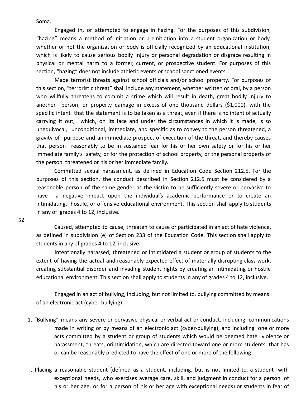Soma.

Engaged in, or attempted to engage in hazing. For the purposes of this subdivision, "hazing" means a method of initiation or preinitiation into a student organization or body, whether or not the organization or body is officially recognized by an educational institution, which is likely to cause serious bodily injury or personal degradation or disgrace resulting in physical or mental harm to a former, current, or prospective student. For purposes of this section, "hazing" does not include athletic events or school sanctioned events.

Made terrorist threats against school officials and/or school property. For purposes of this section, "terroristic threat" shall include any statement, whether written or oral, by a person who willfully threatens to commit a crime which will result in death, great bodily injury to another person, or property damage in excess of one thousand dollars (\$1,000), with the specific intent that the statement is to be taken as a threat, even if there is no intent of actually carrying it out, which, on its face and under the circumstances in which it is made, is so unequivocal, unconditional, immediate, and specific as to convey to the person threatened, a gravity of purpose and an immediate prospect of execution of the threat, and thereby causes that person reasonably to be in sustained fear for his or her own safety or for his or her immediate family's safety, or for the protection of school property, or the personal property of the person threatened or his or her immediate family.

Committed sexual harassment, as defined in Education Code Section 212.5. For the purposes of this section, the conduct described in Section 212.5 must be considered by a reasonable person of the same gender as the victim to be sufficiently severe or pervasive to have a negative impact upon the individual's academic performance or to create an intimidating, hostile, or offensive educational environment. This section shall apply to students in any of grades 4 to 12, inclusive.

52

Caused, attempted to cause, threaten to cause or participated in an act of hate violence, as defined in subdivision (e) of Section 233 of the Education Code. This section shall apply to students in any of grades 4 to 12, inclusive.

Intentionally harassed, threatened or intimidated a student or group of students to the extent of having the actual and reasonably expected effect of materially disrupting class work, creating substantial disorder and invading student rights by creating an intimidating or hostile educational environment. This section shall apply to students in any of grades 4 to 12, inclusive.

Engaged in an act of bullying, including, but not limited to, bullying committed by means of an electronic act (cyber-bullying).

- 1. "Bullying" means any severe or pervasive physical or verbal act or conduct, including communications made in writing or by means of an electronic act (cyber-bullying), and including one or more acts committed by a student or group of students which would be deemed hate violence or harassment, threats, orintimidation, which are directed toward one or more students that has or can be reasonably predicted to have the effect of one or more of the following:
- i. Placing a reasonable student (defined as a student, including, but is not limited to, a student with exceptional needs, who exercises average care, skill, and judgment in conduct for a person of his or her age, or for a person of his or her age with exceptional needs) or students in fear of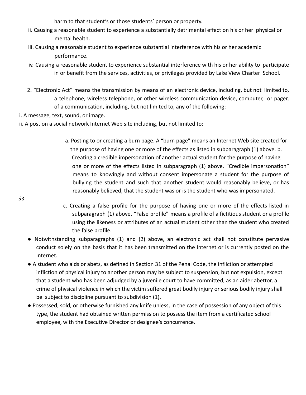harm to that student's or those students' person or property.

- ii. Causing a reasonable student to experience a substantially detrimental effect on his or her physical or mental health.
- iii. Causing a reasonable student to experience substantial interference with his or her academic performance.
- iv. Causing a reasonable student to experience substantial interference with his or her ability to participate in or benefit from the services, activities, or privileges provided by Lake View Charter School.
- 2. "Electronic Act" means the transmission by means of an electronic device, including, but not limited to, a telephone, wireless telephone, or other wireless communication device, computer, or pager, of a communication, including, but not limited to, any of the following:
- i. A message, text, sound, or image.
- ii. A post on a social network Internet Web site including, but not limited to:
	- a. Posting to or creating a burn page. A "burn page" means an Internet Web site created for the purpose of having one or more of the effects as listed in subparagraph (1) above. b. Creating a credible impersonation of another actual student for the purpose of having one or more of the effects listed in subparagraph (1) above. "Credible impersonation" means to knowingly and without consent impersonate a student for the purpose of bullying the student and such that another student would reasonably believe, or has reasonably believed, that the student was or is the student who was impersonated.
- 53
- c. Creating a false profile for the purpose of having one or more of the effects listed in subparagraph (1) above. "False profile" means a profile of a fictitious student or a profile using the likeness or attributes of an actual student other than the student who created the false profile.
- **●** Notwithstanding subparagraphs (1) and (2) above, an electronic act shall not constitute pervasive conduct solely on the basis that it has been transmitted on the Internet or is currently posted on the Internet.
- **●** A student who aids or abets, as defined in Section 31 of the Penal Code, the infliction or attempted infliction of physical injury to another person may be subject to suspension, but not expulsion, except that a student who has been adjudged by a juvenile court to have committed, as an aider abettor, a crime of physical violence in which the victim suffered great bodily injury or serious bodily injury shall be subject to discipline pursuant to subdivision (1).
- Possessed, sold, or otherwise furnished any knife unless, in the case of possession of any object of this type, the student had obtained written permission to possess the item from a certificated school employee, with the Executive Director or designee's concurrence.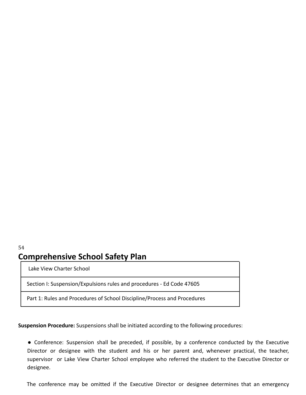### 54 **Comprehensive School Safety Plan**

Lake View Charter School

Section I: Suspension/Expulsions rules and procedures - Ed Code 47605

Part 1: Rules and Procedures of School Discipline/Process and Procedures

**Suspension Procedure:** Suspensions shall be initiated according to the following procedures:

**●** Conference: Suspension shall be preceded, if possible, by a conference conducted by the Executive Director or designee with the student and his or her parent and, whenever practical, the teacher, supervisor or Lake View Charter School employee who referred the student to the Executive Director or designee.

The conference may be omitted if the Executive Director or designee determines that an emergency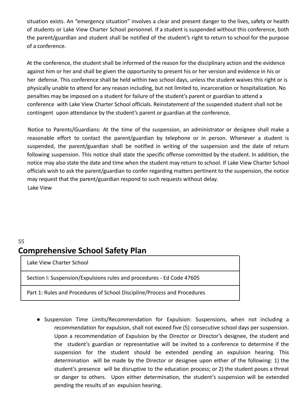situation exists. An "emergency situation" involves a clear and present danger to the lives, safety or health of students or Lake View Charter School personnel. If a student is suspended without this conference, both the parent/guardian and student shall be notified of the student's right to return to school for the purpose of a conference.

At the conference, the student shall be informed of the reason for the disciplinary action and the evidence against him or her and shall be given the opportunity to present his or her version and evidence in his or her defense. This conference shall be held within two school days, unless the student waives this right or is physically unable to attend for any reason including, but not limited to, incarceration or hospitalization. No penalties may be imposed on a student for failure of the student's parent or guardian to attend a conference with Lake View Charter School officials. Reinstatement of the suspended student shall not be contingent upon attendance by the student's parent or guardian at the conference.

Notice to Parents/Guardians: At the time of the suspension, an administrator or designee shall make a reasonable effort to contact the parent/guardian by telephone or in person. Whenever a student is suspended, the parent/guardian shall be notified in writing of the suspension and the date of return following suspension. This notice shall state the specific offense committed by the student. In addition, the notice may also state the date and time when the student may return to school. If Lake View Charter School officials wish to ask the parent/guardian to confer regarding matters pertinent to the suspension, the notice may request that the parent/guardian respond to such requests without delay. Lake View

### 55 **Comprehensive School Safety Plan**

Lake View Charter School

Section I: Suspension/Expulsions rules and procedures - Ed Code 47605

Part 1: Rules and Procedures of School Discipline/Process and Procedures

**●** Suspension Time Limits/Recommendation for Expulsion: Suspensions, when not including a recommendation for expulsion, shall not exceed five (5) consecutive school days per suspension. Upon a recommendation of Expulsion by the Director or Director's designee, the student and the student's guardian or representative will be invited to a conference to determine if the suspension for the student should be extended pending an expulsion hearing. This determination will be made by the Director or designee upon either of the following: 1) the student's presence will be disruptive to the education process; or 2) the student poses a threat or danger to others. Upon either determination, the student's suspension will be extended pending the results of an expulsion hearing.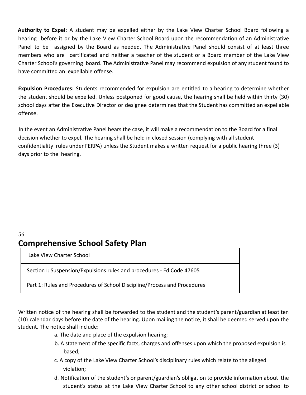**Authority to Expel:** A student may be expelled either by the Lake View Charter School Board following a hearing before it or by the Lake View Charter School Board upon the recommendation of an Administrative Panel to be assigned by the Board as needed. The Administrative Panel should consist of at least three members who are certificated and neither a teacher of the student or a Board member of the Lake View Charter School's governing board. The Administrative Panel may recommend expulsion of any student found to have committed an expellable offense.

**Expulsion Procedures:** Students recommended for expulsion are entitled to a hearing to determine whether the student should be expelled. Unless postponed for good cause, the hearing shall be held within thirty (30) school days after the Executive Director or designee determines that the Student has committed an expellable offense.

In the event an Administrative Panel hears the case, it will make a recommendation to the Board for a final decision whether to expel. The hearing shall be held in closed session (complying with all student confidentiality rules under FERPA) unless the Student makes a written request for a public hearing three (3) days prior to the hearing.

#### 56 **Comprehensive School Safety Plan**

Lake View Charter School

Section I: Suspension/Expulsions rules and procedures - Ed Code 47605

Part 1: Rules and Procedures of School Discipline/Process and Procedures

Written notice of the hearing shall be forwarded to the student and the student's parent/guardian at least ten (10) calendar days before the date of the hearing. Upon mailing the notice, it shall be deemed served upon the student. The notice shall include:

- a. The date and place of the expulsion hearing;
- b. A statement of the specific facts, charges and offenses upon which the proposed expulsion is based;
- c. A copy of the Lake View Charter School's disciplinary rules which relate to the alleged violation;
- d. Notification of the student's or parent/guardian's obligation to provide information about the student's status at the Lake View Charter School to any other school district or school to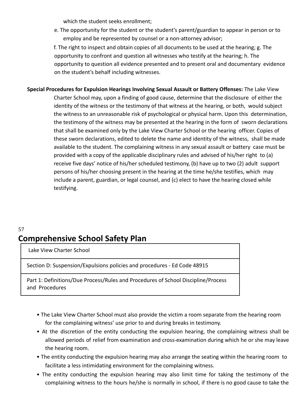which the student seeks enrollment;

e. The opportunity for the student or the student's parent/guardian to appear in person or to employ and be represented by counsel or a non-attorney advisor;

f. The right to inspect and obtain copies of all documents to be used at the hearing; g. The opportunity to confront and question all witnesses who testify at the hearing; h. The opportunity to question all evidence presented and to present oral and documentary evidence on the student's behalf including witnesses.

**Special Procedures for Expulsion Hearings Involving Sexual Assault or Battery Offenses:** The Lake View Charter School may, upon a finding of good cause, determine that the disclosure of either the identity of the witness or the testimony of that witness at the hearing, or both, would subject the witness to an unreasonable risk of psychological or physical harm. Upon this determination, the testimony of the witness may be presented at the hearing in the form of sworn declarations that shall be examined only by the Lake View Charter School or the hearing officer. Copies of these sworn declarations, edited to delete the name and identity of the witness, shall be made available to the student. The complaining witness in any sexual assault or battery case must be provided with a copy of the applicable disciplinary rules and advised of his/her right to (a) receive five days' notice of his/her scheduled testimony, (b) have up to two (2) adult support persons of his/her choosing present in the hearing at the time he/she testifies, which may include a parent, guardian, or legal counsel, and (c) elect to have the hearing closed while testifying.

### 57 **Comprehensive School Safety Plan**

Lake View Charter School

Section D: Suspension/Expulsions policies and procedures - Ed Code 48915

Part 1: Definitions/Due Process/Rules and Procedures of School Discipline/Process and Procedures

- The Lake View Charter School must also provide the victim a room separate from the hearing room for the complaining witness' use prior to and during breaks in testimony.
- At the discretion of the entity conducting the expulsion hearing, the complaining witness shall be allowed periods of relief from examination and cross-examination during which he or she may leave the hearing room.
- The entity conducting the expulsion hearing may also arrange the seating within the hearing room to facilitate a less intimidating environment for the complaining witness.
- The entity conducting the expulsion hearing may also limit time for taking the testimony of the complaining witness to the hours he/she is normally in school, if there is no good cause to take the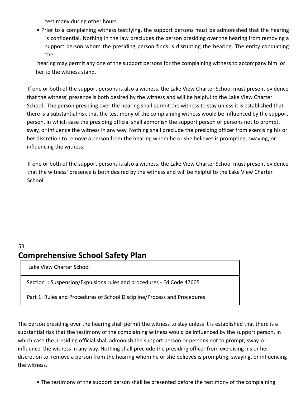testimony during other hours.

• Prior to a complaining witness testifying, the support persons must be admonished that the hearing is confidential. Nothing in the law precludes the person presiding over the hearing from removing a support person whom the presiding person finds is disrupting the hearing. The entity conducting the

hearing may permit any one of the support persons for the complaining witness to accompany him or her to the witness stand.

If one or both of the support persons is also a witness, the Lake View Charter School must present evidence that the witness' presence is both desired by the witness and will be helpful to the Lake View Charter School. The person presiding over the hearing shall permit the witness to stay unless it is established that there is a substantial risk that the testimony of the complaining witness would be influenced by the support person, in which case the presiding official shall admonish the support person or persons not to prompt, sway, or influence the witness in any way. Nothing shall preclude the presiding officer from exercising his or her discretion to remove a person from the hearing whom he or she believes is prompting, swaying, or influencing the witness.

If one or both of the support persons is also a witness, the Lake View Charter School must present evidence that the witness' presence is both desired by the witness and will be helpful to the Lake View Charter School.

#### 58 **Comprehensive School Safety Plan**

Lake View Charter School

Section I: Suspension/Expulsions rules and procedures - Ed Code 47605

Part 1: Rules and Procedures of School Discipline/Process and Procedures

The person presiding over the hearing shall permit the witness to stay unless it is established that there is a substantial risk that the testimony of the complaining witness would be influenced by the support person, in which case the presiding official shall admonish the support person or persons not to prompt, sway, or influence the witness in any way. Nothing shall preclude the presiding officer from exercising his or her discretion to remove a person from the hearing whom he or she believes is prompting, swaying, or influencing the witness.

• The testimony of the support person shall be presented before the testimony of the complaining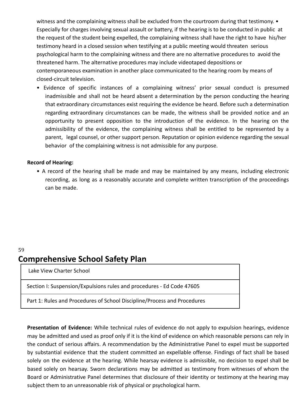witness and the complaining witness shall be excluded from the courtroom during that testimony. • Especially for charges involving sexual assault or battery, if the hearing is to be conducted in public at the request of the student being expelled, the complaining witness shall have the right to have his/her testimony heard in a closed session when testifying at a public meeting would threaten serious psychological harm to the complaining witness and there are no alternative procedures to avoid the threatened harm. The alternative procedures may include videotaped depositions or contemporaneous examination in another place communicated to the hearing room by means of closed-circuit television.

• Evidence of specific instances of a complaining witness' prior sexual conduct is presumed inadmissible and shall not be heard absent a determination by the person conducting the hearing that extraordinary circumstances exist requiring the evidence be heard. Before such a determination regarding extraordinary circumstances can be made, the witness shall be provided notice and an opportunity to present opposition to the introduction of the evidence. In the hearing on the admissibility of the evidence, the complaining witness shall be entitled to be represented by a parent, legal counsel, or other support person. Reputation or opinion evidence regarding the sexual behavior of the complaining witness is not admissible for any purpose.

#### **Record of Hearing:**

• A record of the hearing shall be made and may be maintained by any means, including electronic recording, as long as a reasonably accurate and complete written transcription of the proceedings can be made.

# **Comprehensive School Safety Plan**

Lake View Charter School

59

Section I: Suspension/Expulsions rules and procedures - Ed Code 47605

Part 1: Rules and Procedures of School Discipline/Process and Procedures

**Presentation of Evidence:** While technical rules of evidence do not apply to expulsion hearings, evidence may be admitted and used as proof only if it is the kind of evidence on which reasonable persons can rely in the conduct of serious affairs. A recommendation by the Administrative Panel to expel must be supported by substantial evidence that the student committed an expellable offense. Findings of fact shall be based solely on the evidence at the hearing. While hearsay evidence is admissible, no decision to expel shall be based solely on hearsay. Sworn declarations may be admitted as testimony from witnesses of whom the Board or Administrative Panel determines that disclosure of their identity or testimony at the hearing may subject them to an unreasonable risk of physical or psychological harm.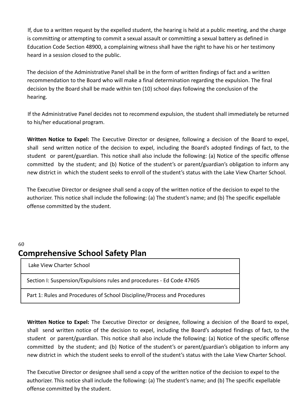If, due to a written request by the expelled student, the hearing is held at a public meeting, and the charge is committing or attempting to commit a sexual assault or committing a sexual battery as defined in Education Code Section 48900, a complaining witness shall have the right to have his or her testimony heard in a session closed to the public.

The decision of the Administrative Panel shall be in the form of written findings of fact and a written recommendation to the Board who will make a final determination regarding the expulsion. The final decision by the Board shall be made within ten (10) school days following the conclusion of the hearing.

If the Administrative Panel decides not to recommend expulsion, the student shall immediately be returned to his/her educational program.

**Written Notice to Expel:** The Executive Director or designee, following a decision of the Board to expel, shall send written notice of the decision to expel, including the Board's adopted findings of fact, to the student or parent/guardian. This notice shall also include the following: (a) Notice of the specific offense committed by the student; and (b) Notice of the student's or parent/guardian's obligation to inform any new district in which the student seeks to enroll of the student's status with the Lake View Charter School.

The Executive Director or designee shall send a copy of the written notice of the decision to expel to the authorizer. This notice shall include the following: (a) The student's name; and (b) The specific expellable offense committed by the student.

### 60 **Comprehensive School Safety Plan**

Lake View Charter School

Section I: Suspension/Expulsions rules and procedures - Ed Code 47605

Part 1: Rules and Procedures of School Discipline/Process and Procedures

**Written Notice to Expel:** The Executive Director or designee, following a decision of the Board to expel, shall send written notice of the decision to expel, including the Board's adopted findings of fact, to the student or parent/guardian. This notice shall also include the following: (a) Notice of the specific offense committed by the student; and (b) Notice of the student's or parent/guardian's obligation to inform any new district in which the student seeks to enroll of the student's status with the Lake View Charter School.

The Executive Director or designee shall send a copy of the written notice of the decision to expel to the authorizer. This notice shall include the following: (a) The student's name; and (b) The specific expellable offense committed by the student.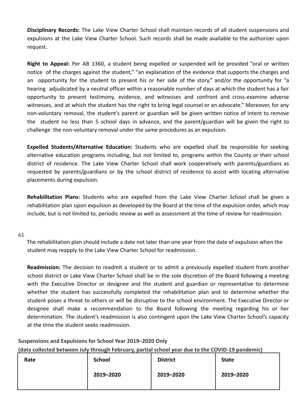**Disciplinary Records:** The Lake View Charter School shall maintain records of all student suspensions and expulsions at the Lake View Charter School. Such records shall be made available to the authorizer upon request.

**Right to Appeal:** Per AB 1360, a student being expelled or suspended will be provided "oral or written notice of the charges against the student," "an explanation of the evidence that supports the charges and an opportunity for the student to present his or her side of the story," and/or the opportunity for "a hearing adjudicated by a neutral officer within a reasonable number of days at which the student has a fair opportunity to present testimony, evidence, and witnesses and confront and cross-examine adverse witnesses, and at which the student has the right to bring legal counsel or an advocate." Moreover, for any non-voluntary removal, the student's parent or guardian will be given written notice of intent to remove the student no less than 5 school days in advance, and the parent/guardian will be given the right to challenge the non-voluntary removal under the same procedures as an expulsion.

**Expelled Students/Alternative Education:** Students who are expelled shall be responsible for seeking alternative education programs including, but not limited to, programs within the County or their school district of residence. The Lake View Charter School shall work cooperatively with parents/guardians as requested by parents/guardians or by the school district of residence to assist with locating alternative placements during expulsion.

**Rehabilitation Plans:** Students who are expelled from the Lake View Charter School shall be given a rehabilitation plan upon expulsion as developed by the Board at the time of the expulsion order, which may include, but is not limited to, periodic review as well as assessment at the time of review for readmission.

61

The rehabilitation plan should include a date not later than one year from the date of expulsion when the student may reapply to the Lake View Charter School for readmission.

**Readmission:** The decision to readmit a student or to admit a previously expelled student from another school district or Lake View Charter School shall be in the sole discretion of the Board following a meeting with the Executive Director or designee and the student and guardian or representative to determine whether the student has successfully completed the rehabilitation plan and to determine whether the student poses a threat to others or will be disruptive to the school environment. The Executive Director or designee shall make a recommendation to the Board following the meeting regarding his or her determination. The student's readmission is also contingent upon the Lake View Charter School's capacity at the time the student seeks readmission.

#### **Suspensions and Expulsions for School Year 2019–2020 Only**

**(data collected between July through February, partial school year due to the COVID-19 pandemic)**

|      | .             |                 |              |
|------|---------------|-----------------|--------------|
| Rate | <b>School</b> | <b>District</b> | <b>State</b> |
|      |               |                 |              |
|      | 2019-2020     | 2019-2020       | 2019-2020    |
|      |               |                 |              |
|      |               |                 |              |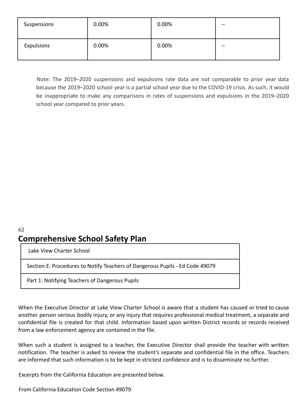| Suspensions | 0.00% | 0.00% | $\qquad \qquad$ |
|-------------|-------|-------|-----------------|
| Expulsions  | 0.00% | 0.00% | $- -$           |

Note: The 2019–2020 suspensions and expulsions rate data are not comparable to prior year data because the 2019–2020 school year is a partial school year due to the COVID-19 crisis. As such, it would be inappropriate to make any comparisons in rates of suspensions and expulsions in the 2019–2020 school year compared to prior years.

### 62 **Comprehensive School Safety Plan**

Lake View Charter School

Section E: Procedures to Notify Teachers of Dangerous Pupils - Ed Code 49079

Part 1: Notifying Teachers of Dangerous Pupils

When the Executive Director at Lake View Charter School is aware that a student has caused or tried to cause another person serious bodily injury, or any injury that requires professional medical treatment, a separate and confidential file is created for that child. Information based upon written District records or records received from a law enforcement agency are contained in the file.

When such a student is assigned to a teacher, the Executive Director shall provide the teacher with written notification. The teacher is asked to review the student's separate and confidential file in the office. Teachers are informed that such information is to be kept in strictest confidence and is to disseminate no further.

Excerpts from the California Education are presented below.

From California Education Code Section 49079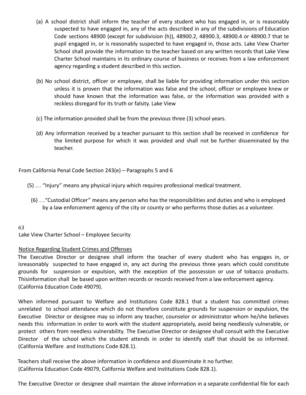- (a) A school district shall inform the teacher of every student who has engaged in, or is reasonably suspected to have engaged in, any of the acts described in any of the subdivisions of Education Code sections 48900 (except for subdivision (h)), 48900.2, 48900.3, 48900.4 or 48900.7 that te pupil engaged in, or is reasonably suspected to have engaged in, those acts. Lake View Charter School shall provide the information to the teacher based on any written records that Lake View Charter School maintains in its ordinary course of business or receives from a law enforcement agency regarding a student described in this section.
- (b) No school district, officer or employee, shall be liable for providing information under this section unless it is proven that the information was false and the school, officer or employee knew or should have known that the information was false, or the information was provided with a reckless disregard for its truth or falsity. Lake View
- (c) The information provided shall be from the previous three (3) school years.
- (d) Any information received by a teacher pursuant to this section shall be received in confidence for the limited purpose for which it was provided and shall not be further disseminated by the teacher.

From California Penal Code Section 243(e) – Paragraphs 5 and 6

- (5) … "Injury" means any physical injury which requires professional medical treatment.
	- (6) …"Custodial Officer" means any person who has the responsibilities and duties and who is employed by a law enforcement agency of the city or county or who performs those duties as a volunteer.

#### 63

Lake View Charter School – Employee Security

#### Notice Regarding Student Crimes and Offenses

The Executive Director or designee shall inform the teacher of every student who has engages in, or isreasonably suspected to have engaged in, any act during the previous three years which could constitute grounds for suspension or expulsion, with the exception of the possession or use of tobacco products. Thisinformation shall be based upon written records or records received from a law enforcement agency. (California Education Code 49079).

When informed pursuant to Welfare and Institutions Code 828.1 that a student has committed crimes unrelated to school attendance which do not therefore constitute grounds for suspension or expulsion, the Executive Director or designee may so inform any teacher, counselor or administrator whom he/she believes needs this information in order to work with the student appropriately, avoid being needlessly vulnerable, or protect others from needless vulnerability. The Executive Director or designee shall consult with the Executive Director of the school which the student attends in order to identify staff that should be so informed. (California Welfare and Institutions Code 828.1).

Teachers shall receive the above information in confidence and disseminate it no further. (California Education Code 49079, California Welfare and Institutions Code 828.1).

The Executive Director or designee shall maintain the above information in a separate confidential file for each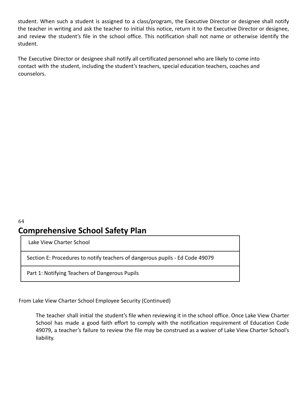student. When such a student is assigned to a class/program, the Executive Director or designee shall notify the teacher in writing and ask the teacher to initial this notice, return it to the Executive Director or designee, and review the student's file in the school office. This notification shall not name or otherwise identify the student.

The Executive Director or designee shall notify all certificated personnel who are likely to come into contact with the student, including the student's teachers, special education teachers, coaches and counselors.

## 64 **Comprehensive School Safety Plan**

Lake View Charter School

Section E: Procedures to notify teachers of dangerous pupils - Ed Code 49079

Part 1: Notifying Teachers of Dangerous Pupils

From Lake View Charter School Employee Security (Continued)

The teacher shall initial the student's file when reviewing it in the school office. Once Lake View Charter School has made a good faith effort to comply with the notification requirement of Education Code 49079, a teacher's failure to review the file may be construed as a waiver of Lake View Charter School's liability.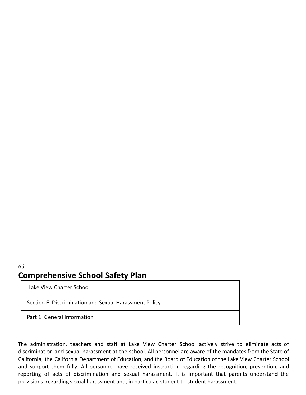### 65 **Comprehensive School Safety Plan**

Lake View Charter School

Section E: Discrimination and Sexual Harassment Policy

Part 1: General Information

The administration, teachers and staff at Lake View Charter School actively strive to eliminate acts of discrimination and sexual harassment at the school. All personnel are aware of the mandates from the State of California, the California Department of Education, and the Board of Education of the Lake View Charter School and support them fully. All personnel have received instruction regarding the recognition, prevention, and reporting of acts of discrimination and sexual harassment. It is important that parents understand the provisions regarding sexual harassment and, in particular, student-to-student harassment.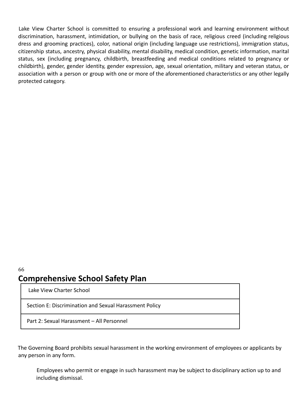Lake View Charter School is committed to ensuring a professional work and learning environment without discrimination, harassment, intimidation, or bullying on the basis of race, religious creed (including religious dress and grooming practices), color, national origin (including language use restrictions), immigration status, citizenship status, ancestry, physical disability, mental disability, medical condition, genetic information, marital status, sex (including pregnancy, childbirth, breastfeeding and medical conditions related to pregnancy or childbirth), gender, gender identity, gender expression, age, sexual orientation, military and veteran status, or association with a person or group with one or more of the aforementioned characteristics or any other legally protected category.

### 66 **Comprehensive School Safety Plan**

Lake View Charter School

Section E: Discrimination and Sexual Harassment Policy

Part 2: Sexual Harassment – All Personnel

The Governing Board prohibits sexual harassment in the working environment of employees or applicants by any person in any form.

Employees who permit or engage in such harassment may be subject to disciplinary action up to and including dismissal.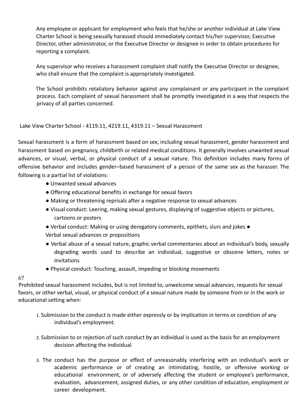Any employee or applicant for employment who feels that he/she or another individual at Lake View Charter School is being sexually harassed should immediately contact his/her supervisor, Executive Director, other administrator, or the Executive Director or designee in order to obtain procedures for reporting a complaint.

Any supervisor who receives a harassment complaint shall notify the Executive Director or designee, who shall ensure that the complaint is appropriately investigated.

The School prohibits retaliatory behavior against any complainant or any participant in the complaint process. Each complaint of sexual harassment shall be promptly investigated in a way that respects the privacy of all parties concerned.

Lake View Charter School - 4119.11, 4219.11, 4319.11 – Sexual Harassment

Sexual harassment is a form of harassment based on sex, including sexual harassment, gender harassment and harassment based on pregnancy, childbirth or related medical conditions. It generally involves unwanted sexual advances, or visual, verbal, or physical conduct of a sexual nature. This definition includes many forms of offensive behavior and includes gender–based harassment of a person of the same sex as the harasser. The following is a partial list of violations:

- Unwanted sexual advances
- Offering educational benefits in exchange for sexual favors
- Making or threatening reprisals after a negative response to sexual advances
- Visual conduct: Leering, making sexual gestures, displaying of suggestive objects or pictures, cartoons or posters
- Verbal conduct: Making or using derogatory comments, epithets, slurs and jokes Verbal sexual advances or propositions
- Verbal abuse of a sexual nature, graphic verbal commentaries about an individual's body, sexually degrading words used to describe an individual, suggestive or obscene letters, notes or invitations
- Physical conduct: Touching, assault, impeding or blocking movements

#### 67

Prohibited sexual harassment includes, but is not limited to, unwelcome sexual advances, requests for sexual favors, or other verbal, visual, or physical conduct of a sexual nature made by someone from or in the work or educational setting when:

- 1. Submission to the conduct is made either expressly or by implication in terms or condition of any individual's employment.
- 2. Submission to or rejection of such conduct by an individual is used as the basis for an employment decision affecting the individual.
- 3. The conduct has the purpose or effect of unreasonably interfering with an individual's work or academic performance or of creating an intimidating, hostile, or offensive working or educational environment, or of adversely affecting the student or employee's performance, evaluation, advancement, assigned duties, or any other condition of education, employment or career development.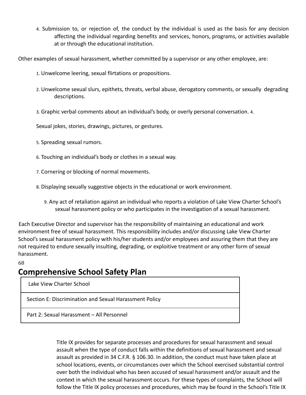4. Submission to, or rejection of, the conduct by the individual is used as the basis for any decision affecting the individual regarding benefits and services, honors, programs, or activities available at or through the educational institution.

Other examples of sexual harassment, whether committed by a supervisor or any other employee, are:

- 1. Unwelcome leering, sexual flirtations or propositions.
- 2. Unwelcome sexual slurs, epithets, threats, verbal abuse, derogatory comments, or sexually degrading descriptions.
- 3. Graphic verbal comments about an individual's body, or overly personal conversation. 4.

Sexual jokes, stories, drawings, pictures, or gestures.

- 5. Spreading sexual rumors.
- 6. Touching an individual's body or clothes in a sexual way.
- 7. Cornering or blocking of normal movements.
- 8. Displaying sexually suggestive objects in the educational or work environment.
	- 9. Any act of retaliation against an individual who reports a violation of Lake View Charter School's sexual harassment policy or who participates in the investigation of a sexual harassment.

Each Executive Director and supervisor has the responsibility of maintaining an educational and work environment free of sexual harassment. This responsibility includes and/or discussing Lake View Charter School's sexual harassment policy with his/her students and/or employees and assuring them that they are not required to endure sexually insulting, degrading, or exploitive treatment or any other form of sexual harassment.

68

# **Comprehensive School Safety Plan**

Lake View Charter School

Section E: Discrimination and Sexual Harassment Policy

Part 2: Sexual Harassment – All Personnel

Title IX provides for separate processes and procedures for sexual harassment and sexual assault when the type of conduct falls within the definitions of sexual harassment and sexual assault as provided in 34 C.F.R. § 106.30. In addition, the conduct must have taken place at school locations, events, or circumstances over which the School exercised substantial control over both the individual who has been accused of sexual harassment and/or assault and the context in which the sexual harassment occurs. For these types of complaints, the School will follow the Title IX policy processes and procedures, which may be found in the School's Title IX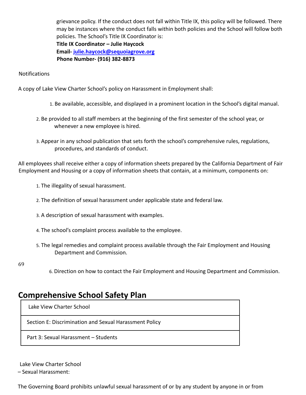grievance policy. If the conduct does not fall within Title IX, this policy will be followed. There may be instances where the conduct falls within both policies and the School will follow both policies. The School's Title IX Coordinator is: **Title IX Coordinator – Julie Haycock**

**Email- julie.haycock@sequoiagrove.org Phone Number- (916) 382-8873**

Notifications

A copy of Lake View Charter School's policy on Harassment in Employment shall:

- 1. Be available, accessible, and displayed in a prominent location in the School's digital manual.
- 2. Be provided to all staff members at the beginning of the first semester of the school year, or whenever a new employee is hired.
- 3. Appear in any school publication that sets forth the school's comprehensive rules, regulations, procedures, and standards of conduct.

All employees shall receive either a copy of information sheets prepared by the California Department of Fair Employment and Housing or a copy of information sheets that contain, at a minimum, components on:

- 1. The illegality of sexual harassment.
- 2. The definition of sexual harassment under applicable state and federal law.
- 3. A description of sexual harassment with examples.
- 4. The school's complaint process available to the employee.
- 5. The legal remedies and complaint process available through the Fair Employment and Housing Department and Commission.
- 69
- 6. Direction on how to contact the Fair Employment and Housing Department and Commission.

# **Comprehensive School Safety Plan**

Lake View Charter School

Section E: Discrimination and Sexual Harassment Policy

Part 3: Sexual Harassment – Students

Lake View Charter School

– Sexual Harassment:

The Governing Board prohibits unlawful sexual harassment of or by any student by anyone in or from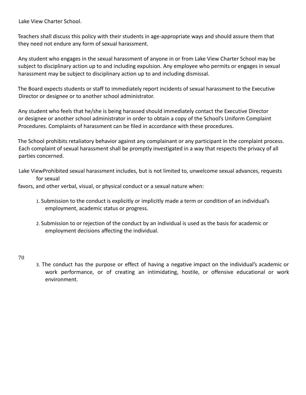Lake View Charter School.

Teachers shall discuss this policy with their students in age-appropriate ways and should assure them that they need not endure any form of sexual harassment.

Any student who engages in the sexual harassment of anyone in or from Lake View Charter School may be subject to disciplinary action up to and including expulsion. Any employee who permits or engages in sexual harassment may be subject to disciplinary action up to and including dismissal.

The Board expects students or staff to immediately report incidents of sexual harassment to the Executive Director or designee or to another school administrator.

Any student who feels that he/she is being harassed should immediately contact the Executive Director or designee or another school administrator in order to obtain a copy of the School's Uniform Complaint Procedures. Complaints of harassment can be filed in accordance with these procedures.

The School prohibits retaliatory behavior against any complainant or any participant in the complaint process. Each complaint of sexual harassment shall be promptly investigated in a way that respects the privacy of all parties concerned.

Lake ViewProhibited sexual harassment includes, but is not limited to, unwelcome sexual advances, requests for sexual

favors, and other verbal, visual, or physical conduct or a sexual nature when:

- 1. Submission to the conduct is explicitly or implicitly made a term or condition of an individual's employment, academic status or progress.
- 2. Submission to or rejection of the conduct by an individual is used as the basis for academic or employment decisions affecting the individual.
- 70
- 3. The conduct has the purpose or effect of having a negative impact on the individual's academic or work performance, or of creating an intimidating, hostile, or offensive educational or work environment.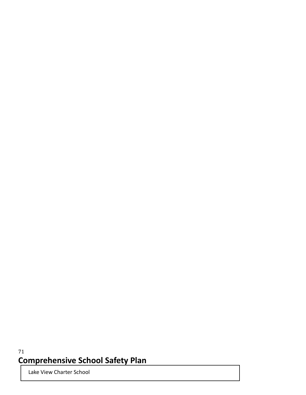## 71 **Comprehensive School Safety Plan**

Lake View Charter School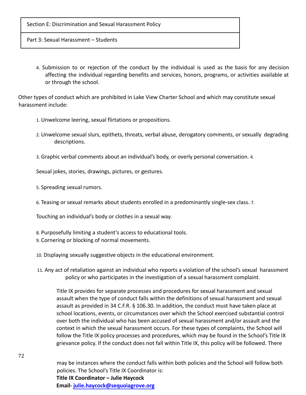Section E: Discrimination and Sexual Harassment Policy

Part 3: Sexual Harassment – Students

4. Submission to or rejection of the conduct by the individual is used as the basis for any decision affecting the individual regarding benefits and services, honors, programs, or activities available at or through the school.

Other types of conduct which are prohibited in Lake View Charter School and which may constitute sexual harassment include:

- 1. Unwelcome leering, sexual flirtations or propositions.
- 2. Unwelcome sexual slurs, epithets, threats, verbal abuse, derogatory comments, or sexually degrading descriptions.
- 3. Graphic verbal comments about an individual's body, or overly personal conversation. 4.

Sexual jokes, stories, drawings, pictures, or gestures.

- 5. Spreading sexual rumors.
- 6. Teasing or sexual remarks about students enrolled in a predominantly single-sex class. 7.

Touching an individual's body or clothes in a sexual way.

- 8. Purposefully limiting a student's access to educational tools.
- 9. Cornering or blocking of normal movements.

10. Displaying sexually suggestive objects in the educational environment.

11. Any act of retaliation against an individual who reports a violation of the school's sexual harassment policy or who participates in the investigation of a sexual harassment complaint.

Title IX provides for separate processes and procedures for sexual harassment and sexual assault when the type of conduct falls within the definitions of sexual harassment and sexual assault as provided in 34 C.F.R. § 106.30. In addition, the conduct must have taken place at school locations, events, or circumstances over which the School exercised substantial control over both the individual who has been accused of sexual harassment and/or assault and the context in which the sexual harassment occurs. For these types of complaints, the School will follow the Title IX policy processes and procedures, which may be found in the School's Title IX grievance policy. If the conduct does not fall within Title IX, this policy will be followed. There

may be instances where the conduct falls within both policies and the School will follow both policies. The School's Title IX Coordinator is: **Title IX Coordinator – Julie Haycock Email- julie.haycock@sequoiagrove.org**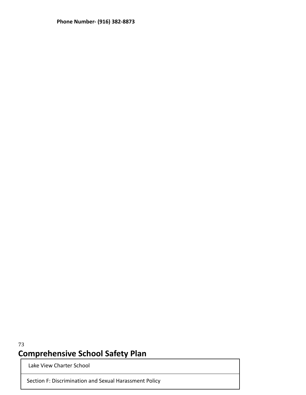**Phone Number- (916) 382-8873**

## 73 **Comprehensive School Safety Plan**

Lake View Charter School

Section F: Discrimination and Sexual Harassment Policy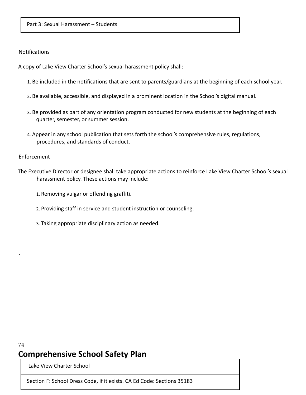#### Part 3: Sexual Harassment – Students

#### **Notifications**

A copy of Lake View Charter School's sexual harassment policy shall:

- 1. Be included in the notifications that are sent to parents/guardians at the beginning of each school year.
- 2. Be available, accessible, and displayed in a prominent location in the School's digital manual.
- 3. Be provided as part of any orientation program conducted for new students at the beginning of each quarter, semester, or summer session.
- 4. Appear in any school publication that sets forth the school's comprehensive rules, regulations, procedures, and standards of conduct.

#### Enforcement

.

- The Executive Director or designee shall take appropriate actions to reinforce Lake View Charter School's sexual harassment policy. These actions may include:
	- 1. Removing vulgar or offending graffiti.
	- 2. Providing staff in service and student instruction or counseling.
	- 3. Taking appropriate disciplinary action as needed.

### 74 **Comprehensive School Safety Plan**

Lake View Charter School

Section F: School Dress Code, if it exists. CA Ed Code: Sections 35183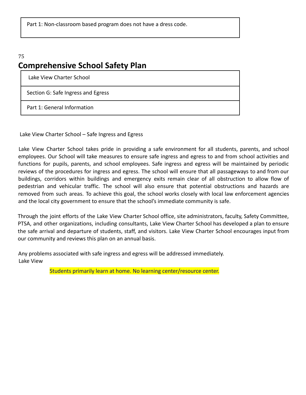Part 1: Non-classroom based program does not have a dress code.

### 75 **Comprehensive School Safety Plan**

Lake View Charter School

Section G: Safe Ingress and Egress

Part 1: General Information

Lake View Charter School – Safe Ingress and Egress

Lake View Charter School takes pride in providing a safe environment for all students, parents, and school employees. Our School will take measures to ensure safe ingress and egress to and from school activities and functions for pupils, parents, and school employees. Safe ingress and egress will be maintained by periodic reviews of the procedures for ingress and egress. The school will ensure that all passageways to and from our buildings, corridors within buildings and emergency exits remain clear of all obstruction to allow flow of pedestrian and vehicular traffic. The school will also ensure that potential obstructions and hazards are removed from such areas. To achieve this goal, the school works closely with local law enforcement agencies and the local city government to ensure that the school's immediate community is safe.

Through the joint efforts of the Lake View Charter School office, site administrators, faculty, Safety Committee, PTSA, and other organizations, including consultants, Lake View Charter School has developed a plan to ensure the safe arrival and departure of students, staff, and visitors. Lake View Charter School encourages input from our community and reviews this plan on an annual basis.

Any problems associated with safe ingress and egress will be addressed immediately. Lake View

Students primarily learn at home. No learning center/resource center.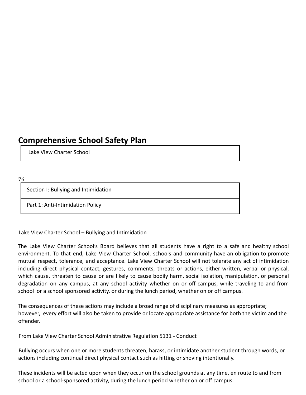# **Comprehensive School Safety Plan**

Lake View Charter School

76

Section I: Bullying and Intimidation

Part 1: Anti-Intimidation Policy

Lake View Charter School – Bullying and Intimidation

The Lake View Charter School's Board believes that all students have a right to a safe and healthy school environment. To that end, Lake View Charter School, schools and community have an obligation to promote mutual respect, tolerance, and acceptance. Lake View Charter School will not tolerate any act of intimidation including direct physical contact, gestures, comments, threats or actions, either written, verbal or physical, which cause, threaten to cause or are likely to cause bodily harm, social isolation, manipulation, or personal degradation on any campus, at any school activity whether on or off campus, while traveling to and from school or a school sponsored activity, or during the lunch period, whether on or off campus.

The consequences of these actions may include a broad range of disciplinary measures as appropriate; however, every effort will also be taken to provide or locate appropriate assistance for both the victim and the offender.

From Lake View Charter School Administrative Regulation 5131 - Conduct

Bullying occurs when one or more students threaten, harass, or intimidate another student through words, or actions including continual direct physical contact such as hitting or shoving intentionally.

These incidents will be acted upon when they occur on the school grounds at any time, en route to and from school or a school-sponsored activity, during the lunch period whether on or off campus.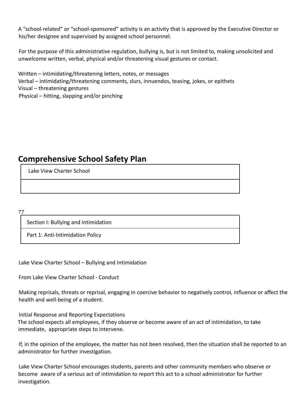A "school-related" or "school-sponsored" activity is an activity that is approved by the Executive Director or his/her designee and supervised by assigned school personnel.

For the purpose of this administrative regulation, bullying is, but is not limited to, making unsolicited and unwelcome written, verbal, physical and/or threatening visual gestures or contact.

Written – intimidating/threatening letters, notes, or messages Verbal – intimidating/threatening comments, slurs, innuendos, teasing, jokes, or epithets Visual – threatening gestures Physical – hitting, slapping and/or pinching

# **Comprehensive School Safety Plan**

Lake View Charter School

77

Section I: Bullying and Intimidation

Part 1: Anti-Intimidation Policy

Lake View Charter School – Bullying and Intimidation

From Lake View Charter School - Conduct

Making reprisals, threats or reprisal, engaging in coercive behavior to negatively control, influence or affect the health and well-being of a student.

Initial Response and Reporting Expectations

The school expects all employees, if they observe or become aware of an act of intimidation, to take immediate, appropriate steps to intervene.

If, in the opinion of the employee, the matter has not been resolved, then the situation shall be reported to an administrator for further investigation.

Lake View Charter School encourages students, parents and other community members who observe or become aware of a serious act of intimidation to report this act to a school administrator for further investigation.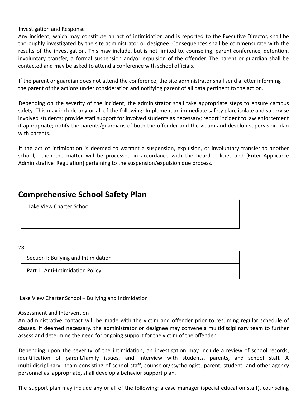Investigation and Response

Any incident, which may constitute an act of intimidation and is reported to the Executive Director, shall be thoroughly investigated by the site administrator or designee. Consequences shall be commensurate with the results of the investigation. This may include, but is not limited to, counseling, parent conference, detention, involuntary transfer, a formal suspension and/or expulsion of the offender. The parent or guardian shall be contacted and may be asked to attend a conference with school officials.

If the parent or guardian does not attend the conference, the site administrator shall send a letter informing the parent of the actions under consideration and notifying parent of all data pertinent to the action.

Depending on the severity of the incident, the administrator shall take appropriate steps to ensure campus safety. This may include any or all of the following: Implement an immediate safety plan; isolate and supervise involved students; provide staff support for involved students as necessary; report incident to law enforcement if appropriate; notify the parents/guardians of both the offender and the victim and develop supervision plan with parents.

If the act of intimidation is deemed to warrant a suspension, expulsion, or involuntary transfer to another school, then the matter will be processed in accordance with the board policies and [Enter Applicable Administrative Regulation] pertaining to the suspension/expulsion due process.

### **Comprehensive School Safety Plan**

Lake View Charter School

78

Section I: Bullying and Intimidation

Part 1: Anti-Intimidation Policy

Lake View Charter School – Bullying and Intimidation

#### Assessment and Intervention

An administrative contact will be made with the victim and offender prior to resuming regular schedule of classes. If deemed necessary, the administrator or designee may convene a multidisciplinary team to further assess and determine the need for ongoing support for the victim of the offender.

Depending upon the severity of the intimidation, an investigation may include a review of school records, identification of parent/family issues, and interview with students, parents, and school staff. A multi-disciplinary team consisting of school staff, counselor/psychologist, parent, student, and other agency personnel as appropriate, shall develop a behavior support plan.

The support plan may include any or all of the following: a case manager (special education staff), counseling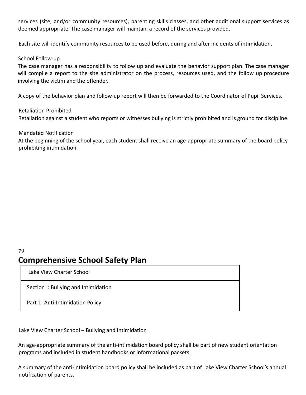services (site, and/or community resources), parenting skills classes, and other additional support services as deemed appropriate. The case manager will maintain a record of the services provided.

Each site will identify community resources to be used before, during and after incidents of intimidation.

### School Follow-up

The case manager has a responsibility to follow up and evaluate the behavior support plan. The case manager will compile a report to the site administrator on the process, resources used, and the follow up procedure involving the victim and the offender.

A copy of the behavior plan and follow-up report will then be forwarded to the Coordinator of Pupil Services.

### Retaliation Prohibited

Retaliation against a student who reports or witnesses bullying is strictly prohibited and is ground for discipline.

### Mandated Notification

At the beginning of the school year, each student shall receive an age-appropriate summary of the board policy prohibiting intimidation.

# **Comprehensive School Safety Plan**

Lake View Charter School

79

Section I: Bullying and Intimidation

Part 1: Anti-Intimidation Policy

Lake View Charter School – Bullying and Intimidation

An age-appropriate summary of the anti-intimidation board policy shall be part of new student orientation programs and included in student handbooks or informational packets.

A summary of the anti-intimidation board policy shall be included as part of Lake View Charter School's annual notification of parents.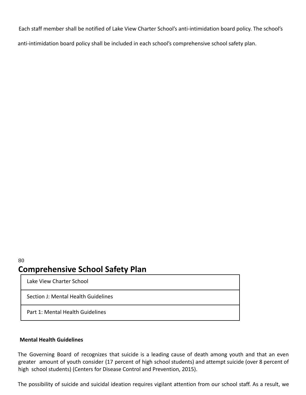Each staff member shall be notified of Lake View Charter School's anti-intimidation board policy. The school's

anti-intimidation board policy shall be included in each school's comprehensive school safety plan.

### 80 **Comprehensive School Safety Plan**

Lake View Charter School

Section J: Mental Health Guidelines

Part 1: Mental Health Guidelines

### **Mental Health Guidelines**

The Governing Board of recognizes that suicide is a leading cause of death among youth and that an even greater amount of youth consider (17 percent of high school students) and attempt suicide (over 8 percent of high school students) (Centers for Disease Control and Prevention, 2015).

The possibility of suicide and suicidal ideation requires vigilant attention from our school staff. As a result, we